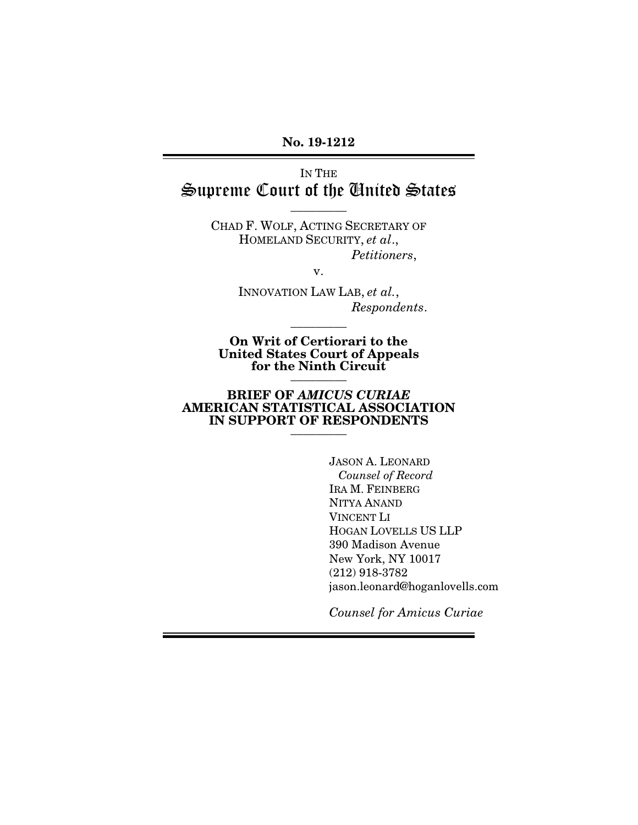### No. 19-1212 No. 19-1212

IN THE IN THE Supreme Court of the Anited States

 $\overline{\phantom{a}}$  . The set of  $\overline{\phantom{a}}$ 

CHAD F. WOLF, ACTING SECRETARY OF CHAD F. WOLF, ACTING SECRETARY OF HOMELAND SECURITY, et al., HOMELAND SECURITY, *et al*., Petitioners,

v.

INNOVATION LAW LAB, et al., *Petitioners*, v. INNOVATION LAW LAB, *et al.*, Respondents. *Respondents*.

On Writ of Certiorari to the United States Court of Appeals for the Ninth Circuit On Writ of Certiorari to the United States Court of Appeals for the Ninth Circuit \_\_\_\_\_\_\_\_\_

 $\overline{\phantom{a}}$  . The set of  $\overline{\phantom{a}}$ 

### BRIEF OF AMICUS CURIAE BRIEF OF *AMICUS CURIAE* AMERICAN STATISTICAL ASSOCIATION AMERICAN STATISTICAL ASSOCIATION IN SUPPORT OF RESPONDENTS IN SUPPORT OF RESPONDENTS  $\frac{1}{\sqrt{2}}$

JASON A. LEONARD JASON A. LEONARD Counsel of Record *Counsel of Record* IRA M. FEINBERG IRA M. FEINBERG NITYA ANAND NITYA ANAND VINCENT LI VINCENT LI HOGAN LOVELLS US LLP HOGAN LOVELLS US LLP 390 Madison Avenue New York, NY 10017 (212) 918-3782 390 Madison Avenue<br>New York, NY 10017<br>(212) 918-3782<br>jason.leonard@hoganlovells.com

Counsel for Amicus Curiae *Counsel for Amicus Curiae*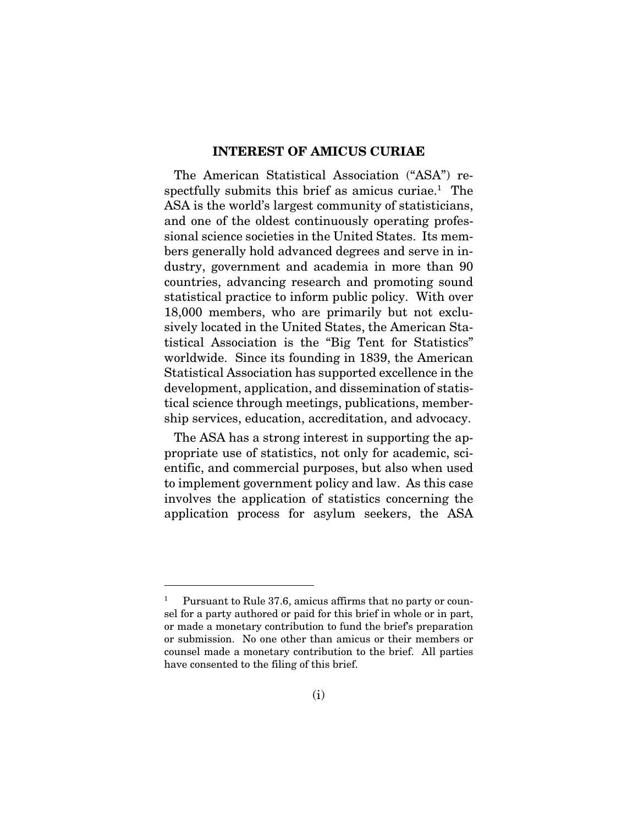### INTEREST OF AMICUS CURIAE INTEREST OF AMICUS CURIAE

The American Statistical Association ("ASA") re-The American Statistical Association ("ASA") respectfully submits this brief as amicus curiae.<sup>1</sup> The ASA is the world's largest community of statisticians, ASA is the world's largest community of statisticians, and one of the oldest continuously operating profes-and one of the oldest continuously operating professional science societies in the United States. Its mem-sional science societies in the United States. Its members generally hold advanced degrees and serve in in-bers generally hold advanced degrees and serve in industry, government and academia in more than 90 dustry, government and academia in more than 90 countries, advancing research and promoting sound statistical practice to inform public policy. With over statistical practice to inform public policy. With over 18,000 members, who are primarily but not exclu-18,000 members, who are primarily but not exclusively located in the United States, the American Sta-sively located in the United States, the American Statistical Association is the "Big Tent for Statistics" worldwide. Since its founding in 1839, the American tistical Association is the "Big Tent for Statistics" worldwide. Since its founding in 1839, the American Statistical Association has supported excellence in the development, application, and dissemination of statis-Statistical Association has supported excellence in the development, application, and dissemination of statistical science through meetings, publications, member-tical science through meetings, publications, membership services, education, accreditation, and advocacy.

ship services, education, accreditation, and advocacy.<br>The ASA has a strong interest in supporting the appropriate use of statistics, not only for academic, sci-propriate use of statistics, not only for academic, scientific, and commercial purposes, but also when used to implement government policy and law. As this case to implement government policy and law. As this case involves the application of statistics concerning the application process for asylum seekers, the ASA involves the application of statistics concerning the application process for asylum seekers, the ASA

<sup>1</sup> Pursuant to Rule 37.6, amicus affirms that no party or coun- Pursuant to Rule 37.6, amicus affirms that no party or counsel for a party authored or paid for this brief in whole or in part, or made a monetary contribution to fund the brief's preparation or submission. No one other than amicus or their members or counsel made a monetary contribution to the brief. All parties have consented to the filing of this brief. 1 sel for a party authored or paid for this brief in whole or in part,<br>or made a monetary contribution to fund the brief's preparation<br>or submission. No one other than amicus or their members or<br>counsel made a monetary contr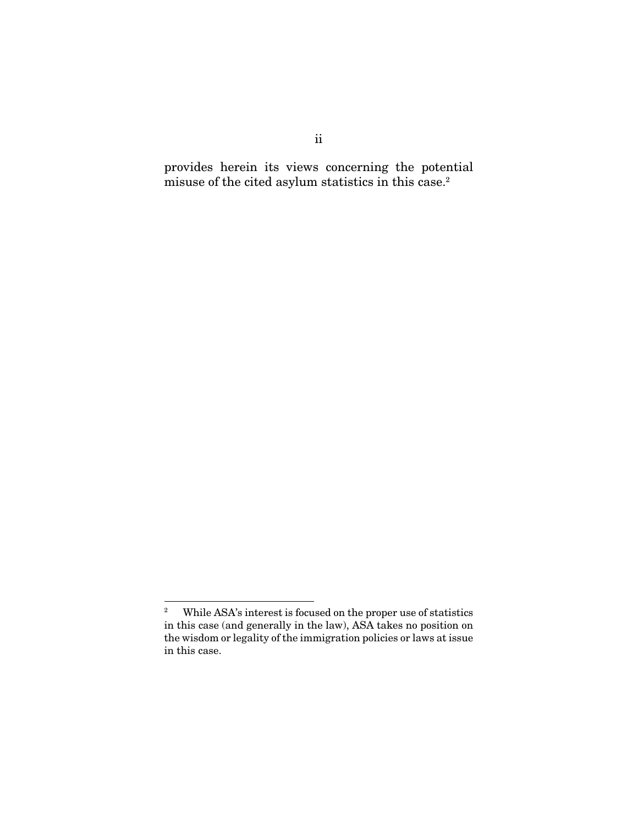provides herein its views concerning the potential provides herein its views concerning the potential misuse of the cited asylum statistics in this case.<sup>2</sup>

<sup>2</sup> While ASA's interest is focused on the proper use of statistics in this case (and generally in the law), ASA takes no position on the wisdom or legality of the immigration policies or laws at issue in this case. 2 While ASA's interest is focused on the proper use of statistics in this case (and generally in the law), ASA takes no position on the wisdom or legality of the immigration policies or laws at issue in this case.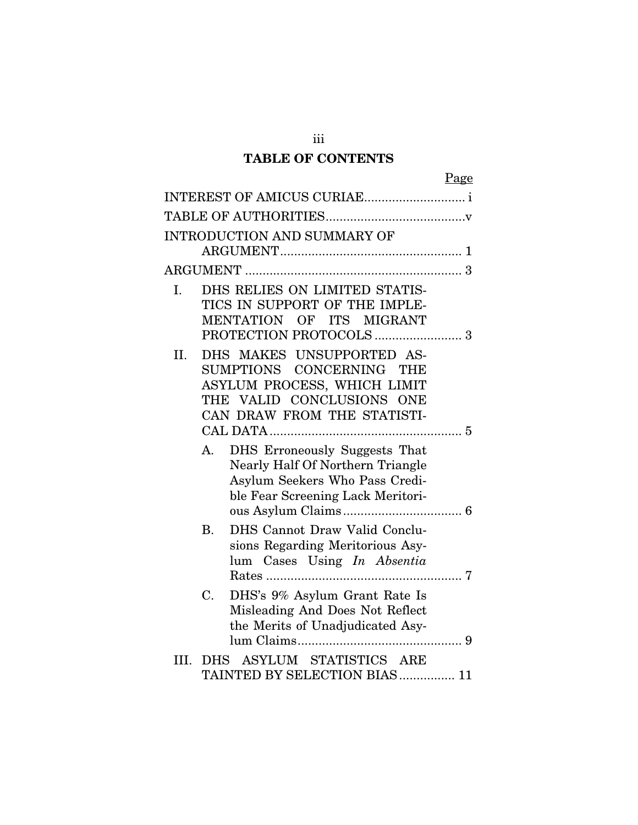### TABLE OF CONTENTS TABLE OF CONTENTS

|      | <b>INTRODUCTION AND SUMMARY OF</b>                                             |
|------|--------------------------------------------------------------------------------|
|      |                                                                                |
|      |                                                                                |
| I.   | DHS RELIES ON LIMITED STATIS-                                                  |
|      | TICS IN SUPPORT OF THE IMPLE-                                                  |
|      | OF ITS MIGRANT<br>MENTATION                                                    |
|      |                                                                                |
| II.  | DHS MAKES UNSUPPORTED AS-                                                      |
|      | SUMPTIONS CONCERNING THE<br>ASYLUM PROCESS, WHICH LIMIT                        |
|      | VALID CONCLUSIONS<br>THE<br><b>ONE</b>                                         |
|      | CAN DRAW FROM THE STATISTI-                                                    |
|      |                                                                                |
|      | DHS Erroneously Suggests That<br>A.                                            |
|      | Nearly Half Of Northern Triangle                                               |
|      | Asylum Seekers Who Pass Credi-                                                 |
|      | ble Fear Screening Lack Meritori-                                              |
|      |                                                                                |
|      | DHS Cannot Draw Valid Conclu-<br><b>B.</b><br>sions Regarding Meritorious Asy- |
|      | lum Cases Using In Absentia                                                    |
|      | Rates                                                                          |
|      | C.<br>DHS's 9% Asylum Grant Rate Is                                            |
|      | Misleading And Does Not Reflect                                                |
|      | the Merits of Unadjudicated Asy-                                               |
|      |                                                                                |
| III. | ASYLUM STATISTICS ARE<br><b>DHS</b>                                            |
|      | TAINTED BY SELECTION BIAS  11                                                  |

111 iii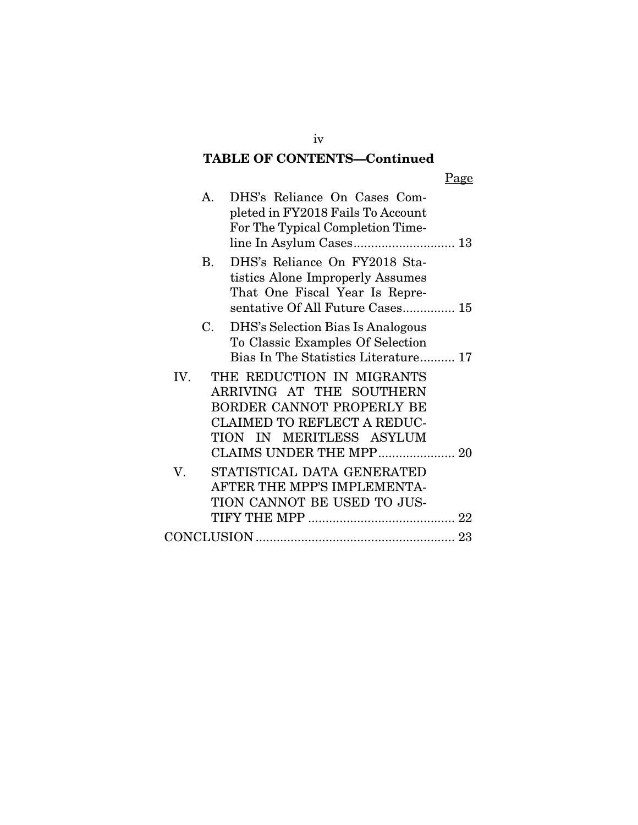## TABLE OF CONTENTS—Continued TABLE OF CONTENTS—Continued

|     | A.          | DHS's Reliance On Cases Com-<br>pleted in FY2018 Fails To Account<br>For The Typical Completion Time-                                                                           |
|-----|-------------|---------------------------------------------------------------------------------------------------------------------------------------------------------------------------------|
|     | <b>B.</b>   | DHS's Reliance On FY2018 Sta-<br>tistics Alone Improperly Assumes<br>That One Fiscal Year Is Repre-<br>sentative Of All Future Cases 15                                         |
|     | $C_{\cdot}$ | DHS's Selection Bias Is Analogous<br>To Classic Examples Of Selection<br>Bias In The Statistics Literature 17                                                                   |
| IV. |             | THE REDUCTION IN MIGRANTS<br>ARRIVING AT THE SOUTHERN<br>BORDER CANNOT PROPERLY BE<br><b>CLAIMED TO REFLECT A REDUC-</b><br>TION IN MERITLESS ASYLUM<br>CLAIMS UNDER THE MPP 20 |
| V.  |             | STATISTICAL DATA GENERATED<br>AFTER THE MPP'S IMPLEMENTA-<br>TION CANNOT BE USED TO JUS-                                                                                        |
|     |             |                                                                                                                                                                                 |

iv iv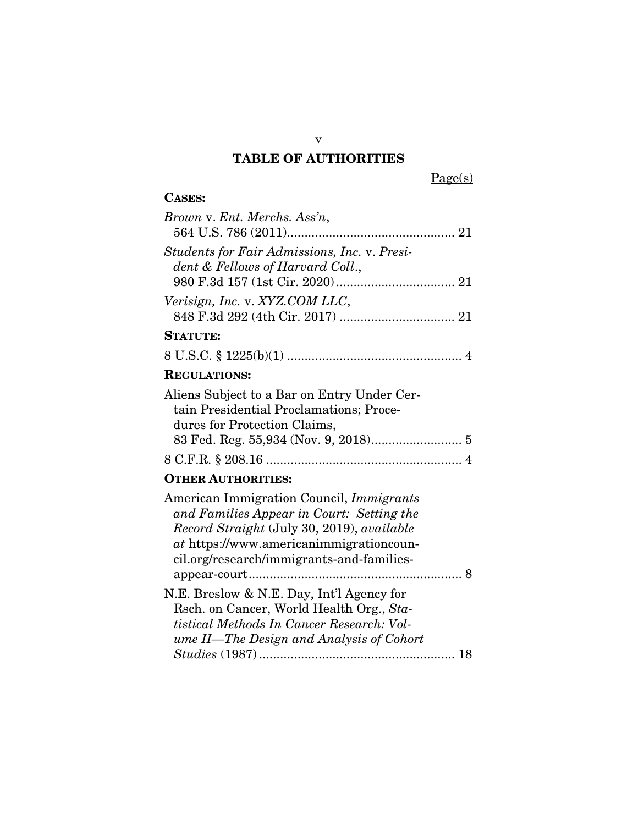# V v TABLE OF AUTHORITIES TABLE OF AUTHORITIES

 $Page(s)$ 

#### CASES: CASES:

| Brown v. Ent. Merchs. Ass'n,                                                                                                                                                                                                       |
|------------------------------------------------------------------------------------------------------------------------------------------------------------------------------------------------------------------------------------|
| Students for Fair Admissions, Inc. v. Presi-<br>dent & Fellows of Harvard Coll.,                                                                                                                                                   |
| Verisign, Inc. v. XYZ.COM LLC,                                                                                                                                                                                                     |
| <b>STATUTE:</b>                                                                                                                                                                                                                    |
|                                                                                                                                                                                                                                    |
| <b>REGULATIONS:</b>                                                                                                                                                                                                                |
| Aliens Subject to a Bar on Entry Under Cer-<br>tain Presidential Proclamations; Proce-<br>dures for Protection Claims,                                                                                                             |
|                                                                                                                                                                                                                                    |
| <b>OTHER AUTHORITIES:</b>                                                                                                                                                                                                          |
| American Immigration Council, <i>Immigrants</i><br>and Families Appear in Court: Setting the<br>Record Straight (July 30, 2019), available<br>at https://www.americanimmigrationcoun-<br>cil.org/research/immigrants-and-families- |
| N.E. Breslow & N.E. Day, Int'l Agency for<br>Rsch. on Cancer, World Health Org., Sta-<br>tistical Methods In Cancer Research: Vol-<br>ume II—The Design and Analysis of Cohort                                                     |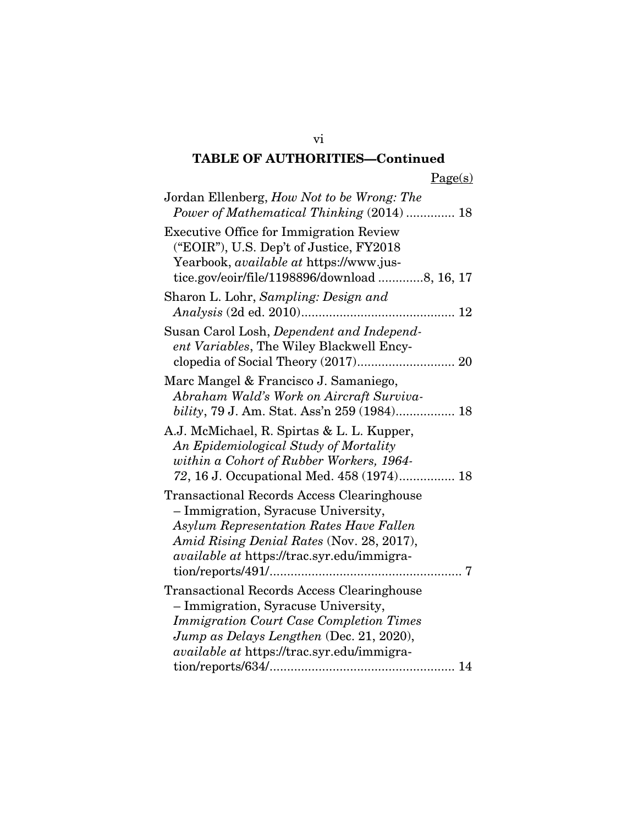## TABLE OF AUTHORITIES—Continued TABLE OF AUTHORITIES—Continued

| Jordan Ellenberg, How Not to be Wrong: The<br>Power of Mathematical Thinking (2014)  18                                                                                                                                                                                       |
|-------------------------------------------------------------------------------------------------------------------------------------------------------------------------------------------------------------------------------------------------------------------------------|
| <b>Executive Office for Immigration Review</b><br>("EOIR"), U.S. Dep't of Justice, FY2018<br>Yearbook, available at https://www.jus-<br>tice.gov/eoir/file/1198896/download 8, 16, 17                                                                                         |
| Sharon L. Lohr, Sampling: Design and                                                                                                                                                                                                                                          |
| Susan Carol Losh, Dependent and Independ-<br>ent Variables, The Wiley Blackwell Ency-                                                                                                                                                                                         |
| Marc Mangel & Francisco J. Samaniego,<br>Abraham Wald's Work on Aircraft Surviva-                                                                                                                                                                                             |
| A.J. McMichael, R. Spirtas & L. L. Kupper,<br>An Epidemiological Study of Mortality<br>within a Cohort of Rubber Workers, 1964-<br>72, 16 J. Occupational Med. 458 (1974) 18                                                                                                  |
| <b>Transactional Records Access Clearinghouse</b><br>- Immigration, Syracuse University,<br>Asylum Representation Rates Have Fallen<br>Amid Rising Denial Rates (Nov. 28, 2017),<br><i>available at https://trac.syr.edu/immigra-</i><br>$\text{tion/reports/491}/\dots$<br>7 |
| <b>Transactional Records Access Clearinghouse</b><br>- Immigration, Syracuse University,<br><b>Immigration Court Case Completion Times</b><br>Jump as Delays Lengthen (Dec. 21, 2020),<br><i>available at https://trac.syr.edu/immigra-</i>                                   |

vi vi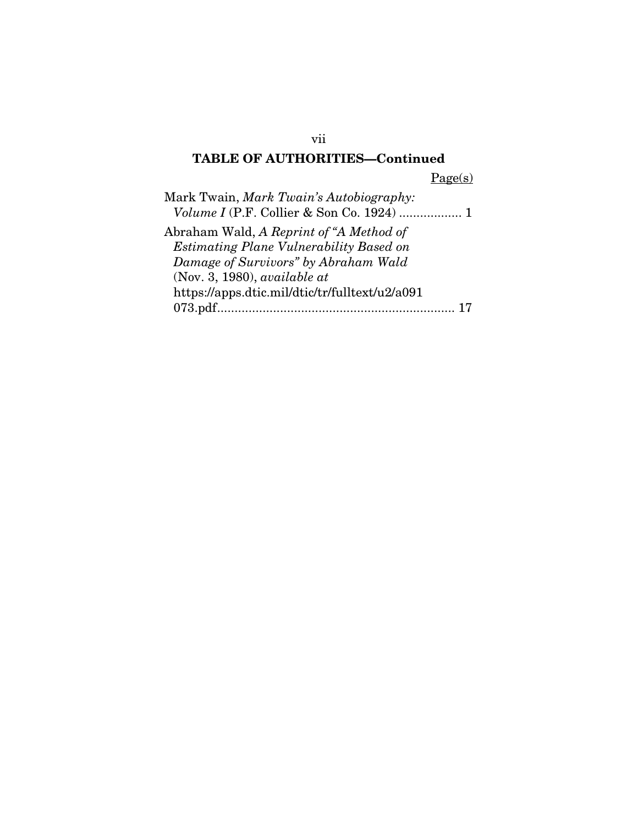## TABLE OF AUTHORITIES—Continued TABLE OF AUTHORITIES—Continued

 $Page(s)$ 

| Mark Twain, Mark Twain's Autobiography:        |
|------------------------------------------------|
| Volume I (P.F. Collier & Son Co. 1924)  1      |
| Abraham Wald, A Reprint of "A Method of        |
| <b>Estimating Plane Vulnerability Based on</b> |
| Damage of Survivors" by Abraham Wald           |
| (Nov. 3, 1980), available at                   |
| https://apps.dtic.mil/dtic/tr/fulltext/u2/a091 |
|                                                |

vii vii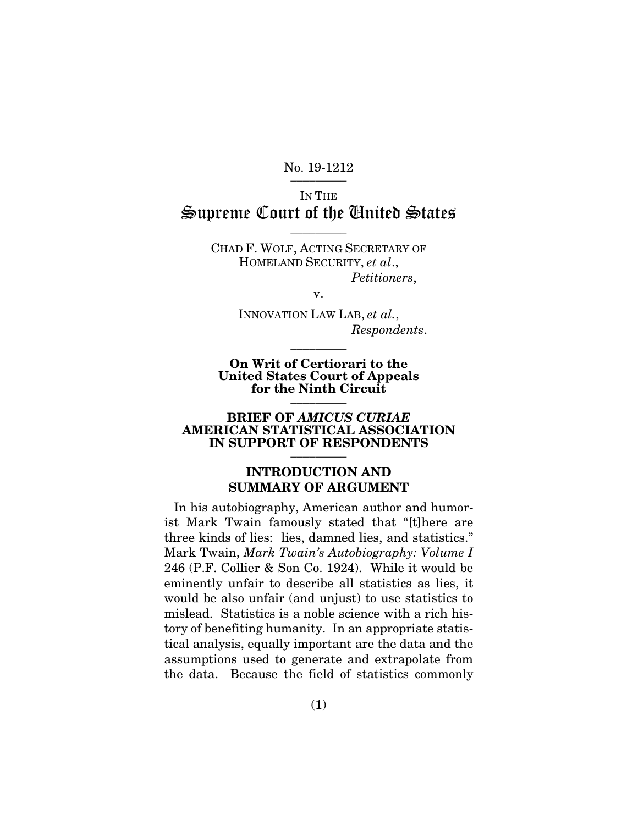No. 19-1212

IN THE IN THE Supreme Court of the Anited States

 $\overline{\phantom{a}}$  . The set of  $\overline{\phantom{a}}$ 

CHAD F. WOLF, ACTING SECRETARY OF CHAD F. WOLF, ACTING SECRETARY OF HOMELAND SECURITY, et al., HOMELAND SECURITY, *et al*., Petitioners,

v.

INNOVATION LAW LAB, et al., *Petitioners*, v. INNOVATION LAW LAB, *et al.*, Respondents. *Respondents*. \_\_\_\_\_\_\_\_\_

On Writ of Certiorari to the On Writ of Certiorari to the United States Court of Appeals United States Court of Appeals for the Ninth Circuit for the Ninth Circuit \_\_\_\_\_\_\_\_\_

### BRIEF OF AMICUS CURIAE BRIEF OF *AMICUS CURIAE* AMERICAN STATISTICAL ASSOCIATION AMERICAN STATISTICAL ASSOCIATION IN SUPPORT OF RESPONDENTS IN SUPPORT OF RESPONDENTS \_\_\_\_\_\_\_\_\_

### INTRODUCTION AND SUMMARY OF ARGUMENT INTRODUCTION AND SUMMARY OF ARGUMENT

In his autobiography, American author and humor-In his autobiography, American author and humorist Mark Twain famously stated that "[t]here are ist Mark Twain famously stated that "[t]here are three kinds of lies: lies, damned lies, and statistics." three kinds of lies: lies, damned lies, and statistics."<br>Mark Twain, *Mark Twain's Autobiography: Volume I* 246 (P.F. Collier & Son Co. 1924). While it would be 246 (P.F. Collier & Son Co. 1924). While it would be eminently unfair to describe all statistics as lies, it would be also unfair (and unjust) to use statistics to mislead. Statistics is a noble science with a rich his-would be also unfair (and unjust) to use statistics to mislead. Statistics is a noble science with a rich history of benefiting humanity. In an appropriate statis-tory of benefiting humanity. In an appropriate statistical analysis, equally important are the data and the tical analysis, equally important are the data and the assumptions used to generate and extrapolate from assumptions used to generate and extrapolate from the data. Because the field of statistics commonly the data. Because the field of statistics commonly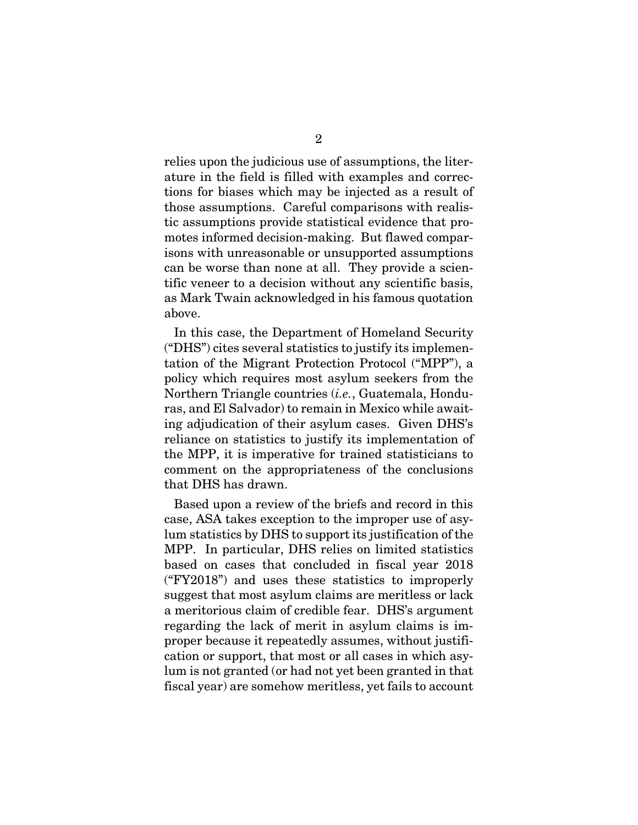relies upon the judicious use of assumptions, the literature in the field is filled with examples and correc-ature in the field is filled with examples and corrections for biases which may be injected as a result of tions for biases which may be injected as a result of those assumptions. Careful comparisons with realis-those assumptions. Careful comparisons with realistic assumptions provide statistical evidence that pro-tic assumptions provide statistical evidence that promotes informed decision-making. But flawed compar-motes informed decision-making. But flawed comparisons with unreasonable or unsupported assumptions isons with unreasonable or unsupported assumptions can be worse than none at all. They provide a scientific veneer to a decision without any scientific basis, tific veneer to a decision without any scientific basis, as Mark Twain acknowledged in his famous quotation as Mark Twain acknowledged in his famous quotation above.

In this case, the Department of Homeland Security above.<br>In this case, the Department of Homeland Security<br>("DHS") cites several statistics to justify its implementation of the Migrant Protection Protocol ("MPP"), a tation of the Migrant Protection Protocol ("MPP"), a policy which requires most asylum seekers from the policy which requires most asylum seekers from the Northern Triangle countries (i.e., Guatemala, Hondu-Northern Triangle countries (*i.e.*, Guatemala, Honduras, and El Salvador) to remain in Mexico while awaiting adjudication of their asylum cases. Given DHS's ing adjudication of their asylum cases. Given DHS's reliance on statistics to justify its implementation of the MPP, it is imperative for trained statisticians to reliance on statistics to justify its implementation of<br>the MPP, it is imperative for trained statisticians to<br>comment on the appropriateness of the conclusions that DHS has drawn. that DHS has drawn.

Based upon a review of the briefs and record in this Based upon a review of the briefs and record in this case, ASA takes exception to the improper use of asy-case, ASA takes exception to the improper use of asylum statistics by DHS to support its justification of the MPP. In particular, DHS relies on limited statistics based on cases that concluded in fiscal year 2018 ("FY2018") and uses these statistics to improperly suggest that most asylum claims are meritless or lack a meritorious claim of credible fear. DHS's argument a meritorious claim of credible fear. DHS's argument regarding the lack of merit in asylum claims is improper because it repeatedly assumes, without justifi-proper because it repeatedly assumes, without justification or support, that most or all cases in which asy-cation or support, that most or all cases in which asylum is not granted (or had not yet been granted in that lum is not granted (or had not yet been granted in that fiscal year) are somehow meritless, yet fails to account fiscal year) are somehow meritless, yet fails to account lum statistics by DHS to support its justification of the<br>MPP. In particular, DHS relies on limited statistics<br>based on cases that concluded in fiscal year 2018<br>("FY2018") and uses these statistics to improperly<br>suggest th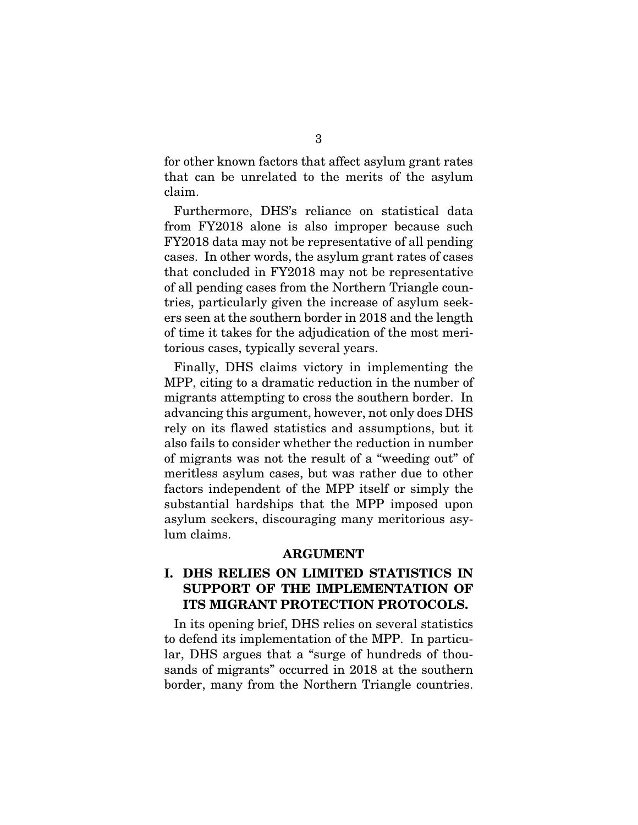for other known factors that affect asylum grant rates 3 for other known factors that affect asylum grant rates that can be unrelated to the merits of the asylum that can be unrelated to the merits of the asylum claim.

claim.<br>Furthermore, DHS's reliance on statistical data from FY2018 alone is also improper because such from FY2018 alone is also improper because such FY2018 data may not be representative of all pending cases. In other words, the asylum grant rates of cases FY2018 data may not be representative of all pending cases. In other words, the asylum grant rates of cases that concluded in FY2018 may not be representative that concluded in FY2018 may not be representative of all pending cases from the Northern Triangle countries, particularly given the increase of asylum seek-tries, particularly given the increase of asylum seekers seen at the southern border in 2018 and the length of time it takes for the adjudication of the most meritorious cases, typically several years. torious cases, typically several years.

Finally, DHS claims victory in implementing the MPP, citing to a dramatic reduction in the number of Finally, DHS claims victory in implementing the MPP, citing to a dramatic reduction in the number of migrants attempting to cross the southern border. In migrants attempting to cross the southern border. In advancing this argument, however, not only does DHS advancing this argument, however, not only does DHS rely on its flawed statistics and assumptions, but it also fails to consider whether the reduction in number also fails to consider whether the reduction in number of migrants was not the result of a "weeding out" of of migrants was not the result of a "weeding out" of<br>meritless asylum cases, but was rather due to other factors independent of the MPP itself or simply the substantial hardships that the MPP imposed upon asylum seekers, discouraging many meritorious asylum claims. lum claims. factors independent of the MPP itself or simply the substantial hardships that the MPP imposed upon asylum seekers, discouraging many meritorious asy-

### ARGUMENT

# I. DHS RELIES ON LIMITED STATISTICS IN ARGUMENT<br>
I. DHS RELIES ON LIMITED STATISTICS IN<br>
SUPPORT OF THE IMPLEMENTATION OF ITS MIGRANT PROTECTION PROTOCOLS.

In its opening brief, DHS relies on several statistics In its opening brief, DHS relies on several statistics to defend its implementation of the MPP. In particular, DHS argues that a "surge of hundreds of thou-lar, DHS argues that a "surge of hundreds of thousands of migrants" occurred in 2018 at the southern border, many from the Northern Triangle countries. border, many from the Northern Triangle countries.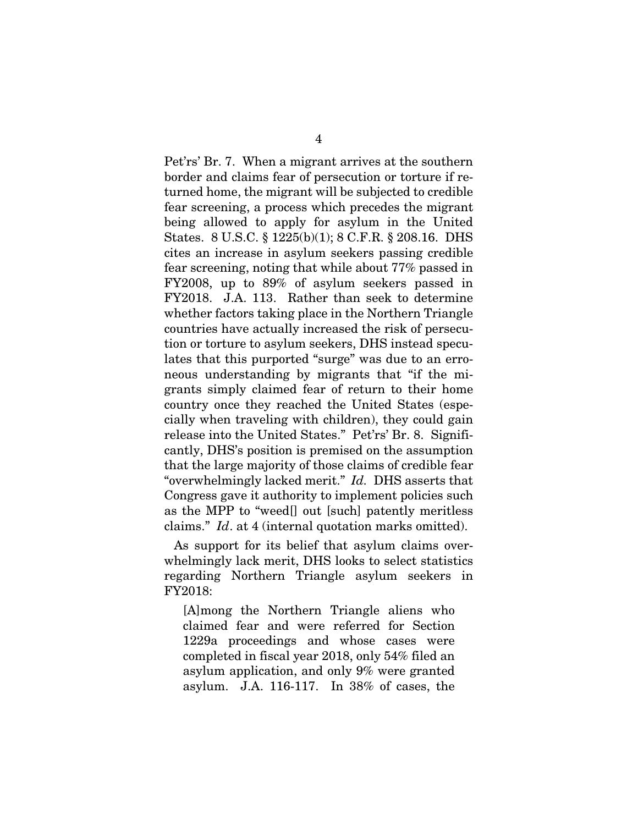Pet'rs' Br. 7. When a migrant arrives at the southern 4 Pet'rs' Br. 7. When a migrant arrives at the southern border and claims fear of persecution or torture if re-border and claims fear of persecution or torture if returned home, the migrant will be subjected to credible turned home, the migrant will be subjected to credible fear screening, a process which precedes the migrant fear screening, a process which precedes the migrant being allowed to apply for asylum in the United being allowed to apply for asylum in the United States. 8 U.S.C. § 1225(b)(1); 8 C.F.R. § 208.16. DHS cites an increase in asylum seekers passing credible States. 8 U.S.C. § 1225(b)(1); 8 C.F.R. § 208.16. DHS cites an increase in asylum seekers passing credible fear screening, noting that while about 77% passed in fear screening, noting that while about 77% passed in FY2008, up to 89% of asylum seekers passed in FY2008, up to 89% of asylum seekers passed in FY2018. J.A. 113. Rather than seek to determine FY2018. J.A. 113. Rather than seek to determine whether factors taking place in the Northern Triangle whether factors taking place in the Northern Triangle countries have actually increased the risk of persecu-countries have actually increased the risk of persecution or torture to asylum seekers, DHS instead specu-tion or torture to asylum seekers, DHS instead speculates that this purported "surge" was due to an erro-lates that this purported "surge" was due to an erroneous understanding by migrants that "if the mi-neous understanding by migrants that "if the migrants simply claimed fear of return to their home grants simply claimed fear of return to their home country once they reached the United States (espe-country once they reached the United States (especially when traveling with children), they could gain cially when traveling with children), they could gain release into the United States." Pet'rs' Br. 8. Significantly, DHS's position is premised on the assumption cantly, DHS's position is premised on the assumption that the large majority of those claims of credible fear that the large majority of those claims of credible fear "overwhelmingly lacked merit." Id. DHS asserts that "overwhelmingly lacked merit." *Id.* DHS asserts that Congress gave it authority to implement policies such as the MPP to "weed[] out [such] patently meritless Congress gave it authority to implement policies such as the MPP to "weed[] out [such] patently meritless claims." Id. at 4 (internal quotation marks omitted). claims." *Id*. at 4 (internal quotation marks omitted).

As support for its belief that asylum claims over-As support for its belief that asylum claims overwhelmingly lack merit, DHS looks to select statistics whelmingly lack merit, DHS looks to select statistics regarding Northern Triangle asylum seekers in regarding Northern Triangle asylum seekers in FY2018: FY2018:

[A]mong the Northern Triangle aliens who claimed fear and were referred for Section 1229a proceedings and whose cases were completed in fiscal year 2018, only 54% filed an asylum application, and only 9% were granted asylum. J.A. 116-117. In 38% of cases, the [A]mong the Northern Triangle aliens who<br>claimed fear and were referred for Section<br>1229a proceedings and whose cases were<br>completed in fiscal year 2018, only 54% filed an<br>asylum application, and only 9% were granted<br>asyl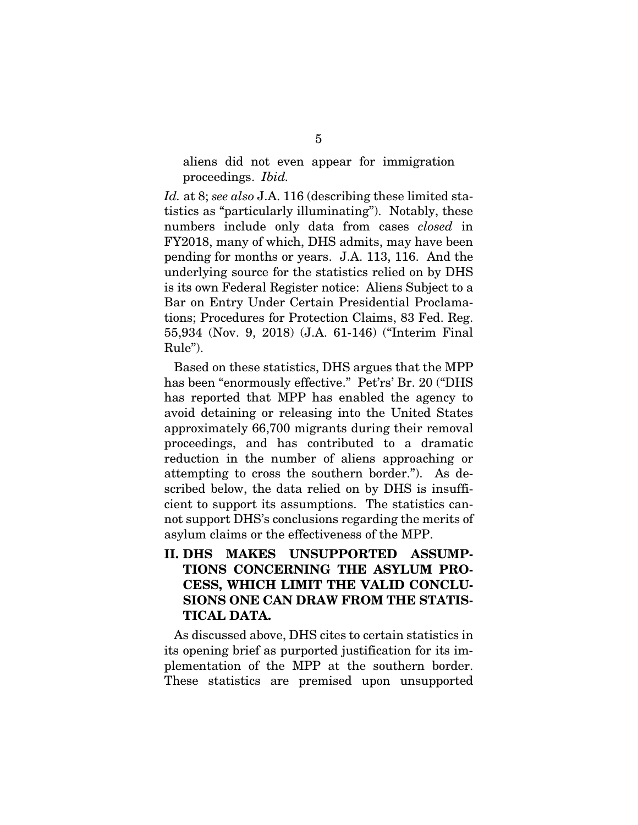aliens did not even appear for immigration proceedings. Ibid. 5 aliens did not even appear for immigration proceedings. *Ibid.* 

Id. at 8; see also J.A. 116 (describing these limited sta-*Id.* at 8; *see also* J.A. 116 (describing these limited statistics as "particularly illuminating"). Notably, these numbers include only data from cases closed in numbers include only data from cases *closed* in FY2018, many of which, DHS admits, may have been FY2018, many of which, DHS admits, may have been pending for months or years. J.A. 113, 116. And the underlying source for the statistics relied on by DHS is its own Federal Register notice: Aliens Subject to a Bar on Entry Under Certain Presidential Proclama-Bar on Entry Under Certain Presidential Proclamations; Procedures for Protection Claims, 83 Fed. Reg. 55,934 (Nov. 9, 2018) (J.A. 61-146) ("Interim Final Rule"). pending for months or years. J.A. 113, 116. And the underlying source for the statistics relied on by DHS<br>is its own Federal Register notice: Aliens Subject to a

Based on these statistics, DHS argues that the MPP has been "enormously effective." Pet'rs' Br. 20 ("DHS has reported that MPP has enabled the agency to avoid detaining or releasing into the United States approximately 66,700 migrants during their removal proceedings, and has contributed to a dramatic approximately 66,700 migrants during their removal<br>proceedings, and has contributed to a dramatic<br>reduction in the number of aliens approaching or attempting to cross the southern border."). As de-attempting to cross the southern border."). As described below, the data relied on by DHS is insufficient to support its assumptions. The statistics can-cient to support its assumptions. The statistics cannot support DHS's conclusions regarding the merits of not support DHS's conclusions regarding the merits of asylum claims or the effectiveness of the MPP. asylum claims or the effectiveness of the MPP. tions; Procedures for Protection Claims, 83 Fed. Reg.<br>55,934 (Nov. 9, 2018) (J.A. 61-146) ("Interim Final<br>Rule").<br>Based on these statistics, DHS argues that the MPP<br>has been "enormously effective." Pet'rs' Br. 20 ("DHS<br>has

II. DHS MAKES UNSUPPORTED ASSUMP-II. DHS MAKES UNSUPPORTED ASSUMP-TIONS CONCERNING THE ASYLUM PRO-TIONS CONCERNING THE ASYLUM PRO-CESS, WHICH LIMIT THE VALID CONCLU-CESS, WHICH LIMIT THE VALID CONCLU-SIONS ONE CAN DRAW FROM THE STATIS-SIONS ONE CAN DRAW FROM THE STATIS-TICAL DATA. TICAL DATA.

As discussed above, DHS cites to certain statistics in its opening brief as purported justification for its im-As discussed above, DHS cites to certain statistics in its opening brief as purported justification for its implementation of the MPP at the southern border. plementation of the MPP at the southern border.<br>These statistics are premised upon unsupported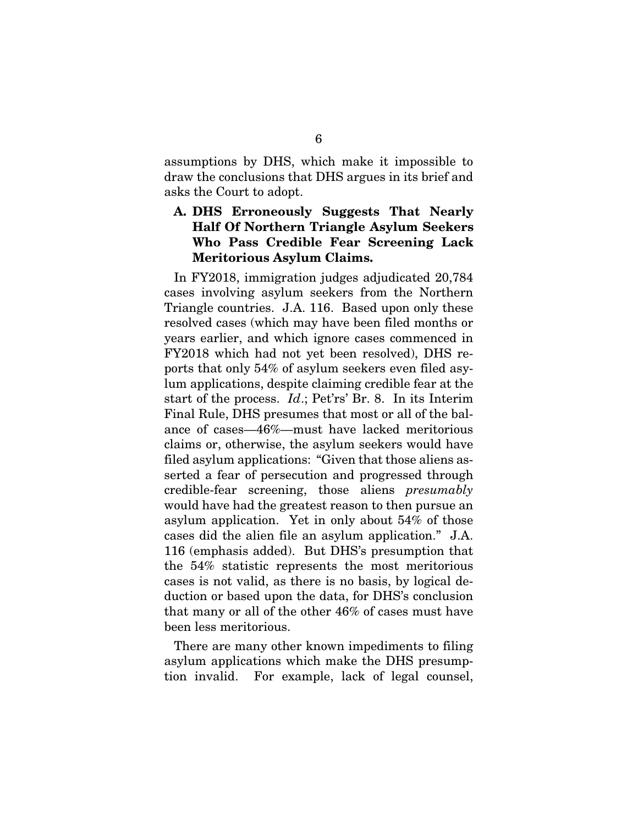assumptions by DHS, which make it impossible to draw the conclusions that DHS argues in its brief and assumptions by DHS, which make it impossible to draw the conclusions that DHS argues in its brief and asks the Court to adopt. asks the Court to adopt.

### A. DHS Erroneously Suggests That Nearly A. DHS Erroneously Suggests That Nearly Half Of Northern Triangle Asylum Seekers Who Pass Credible Fear Screening Lack Meritorious Asylum Claims. Half Of Northern Triangle Asylum Seekers Who Pass Credible Fear Screening Lack Meritorious Asylum Claims.

In FY2018, immigration judges adjudicated 20,784 cases involving asylum seekers from the Northern In FY2018, immigration judges adjudicated 20,784 cases involving asylum seekers from the Northern Triangle countries. J.A. 116. Based upon only these Triangle countries. J.A. 116. Based upon only these resolved cases (which may have been filed months or years earlier, and which ignore cases commenced in years earlier, and which ignore cases commenced in FY2018 which had not yet been resolved), DHS re-FY2018 which had not yet been resolved), DHS reports that only 54% of asylum seekers even filed asy-ports that only 54% of asylum seekers even filed asylum applications, despite claiming credible fear at the lum applications, despite claiming credible fear at the start of the process. Id.; Pet'rs' Br. 8. In its Interim start of the process. *Id*.; Pet'rs' Br. 8. In its Interim<br>Final Rule, DHS presumes that most or all of the balance of cases-46%—must have lacked meritorious ance of cases—46%—must have lacked meritorious claims or, otherwise, the asylum seekers would have filed asylum applications: "Given that those aliens as-filed asylum applications: "Given that those aliens asserted a fear of persecution and progressed through serted a fear of persecution and progressed through<br>credible-fear screening, those aliens *presumably* would have had the greatest reason to then pursue an asylum application. Yet in only about 54% of those would have had the greatest reason to then pursue an asylum application. Yet in only about 54% of those cases did the alien file an asylum application." J.A. 116 (emphasis added). But DHS's presumption that cases did the alien file an asylum application." J.A. 116 (emphasis added). But DHS's presumption that the 54% statistic represents the most meritorious the 54% statistic represents the most meritorious cases is not valid, as there is no basis, by logical deduction or based upon the data, for DHS's conclusion duction or based upon the data, for DHS's conclusion that many or all of the other 46% of cases must have been less meritorious.

There are many other known impediments to filing been less meritorious.<br>There are many other known impediments to filing<br>asylum applications which make the DHS presumption invalid. For example, lack of legal counsel, tion invalid. For example, lack of legal counsel,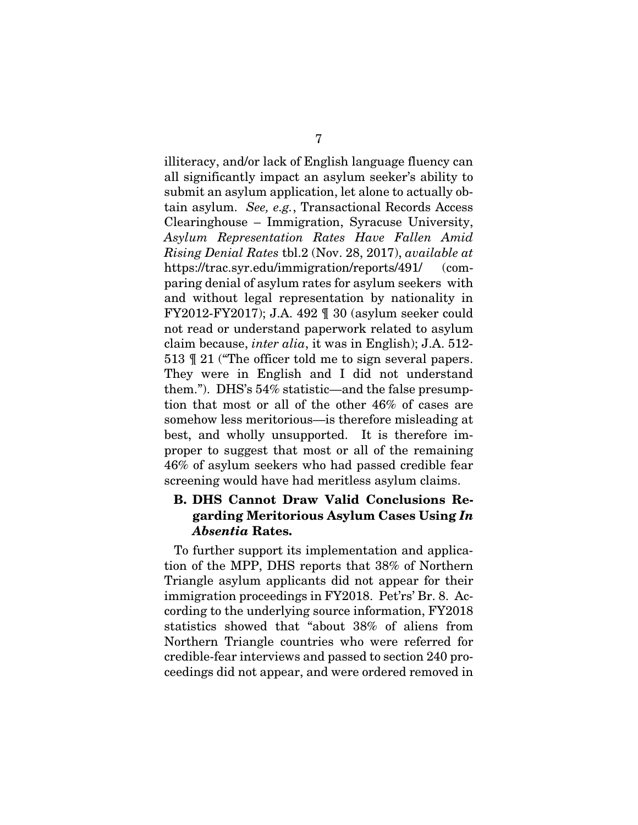illiteracy, and/or lack of English language fluency can 7 illiteracy, and/or lack of English language fluency can all significantly impact an asylum seeker's ability to submit an asylum application, let alone to actually ob-all significantly impact an asylum seeker's ability to submit an asylum application, let alone to actually obtain asylum. See, e.g., Transactional Records Access tain asylum. *See, e.g.*, Transactional Records Access Clearinghouse — Immigration, Syracuse University, Clearinghouse – Immigration, Syracuse University, Asylum Representation Rates Have Fallen Amid *Asylum Representation Rates Have Fallen Amid*  Rising Denial Rates tb1.2 (Nov. 28, 2017), available at *Rising Denial Rates* tbl.2 (Nov. 28, 2017), *available at* https://trac.syr.edu/immigration/reports/491/ (com-https://trac.syr.edu/immigration/reports/491/ (comparing denial of asylum rates for asylum seekers with paring denial of asylum rates for asylum seekers with<br>and without legal representation by nationality in FY2012-FY2017); J.A. 492 ¶ 30 (asylum seeker could FY2012-FY2017); J.A. 492 ¶ 30 (asylum seeker could not read or understand paperwork related to asylum claim because, inter alia, it was in English); J.A. 512-513  $\sqrt{9}$  21 ("The officer told me to sign several papers. They were in English and I did not understand them."). DHS's 54% statistic—and the false presump-them."). DHS's 54% statistic—and the false presumption that most or all of the other 46% of cases are tion that most or all of the other 46% of cases are somehow less meritorious—is therefore misleading at somehow less meritorious—is therefore misleading at best, and wholly unsupported. It is therefore im-best, and wholly unsupported. It is therefore improper to suggest that most or all of the remaining 46% of asylum seekers who had passed credible fear 46% of asylum seekers who had passed credible fear screening would have had meritless asylum claims. screening would have had meritless asylum claims. not read or understand paperwork related to asylum<br>claim because, *inter alia*, it was in English); J.A. 512-<br>513 ¶ 21 ("The officer told me to sign several papers.<br>They were in English and I did not understand

# B. DHS Cannot Draw Valid Conclusions Re-B. DHS Cannot Draw Valid Conclusions Regarding Meritorious Asylum Cases Using In garding Meritorious Asylum Cases Using *In*  Absentia Rates. *Absentia* Rates.

To further support its implementation and applica-To further support its implementation and application of the MPP, DHS reports that 38% of Northern tion of the MPP, DHS reports that 38% of Northern<br>Triangle asylum applicants did not appear for their immigration proceedings in FY2018. Pet'rs' Br. 8. Ac-immigration proceedings in FY2018. Pet'rs' Br. 8. According to the underlying source information, FY2018 statistics showed that "about 38% of aliens from cording to the underlying source information, FY2018 statistics showed that "about 38% of aliens from Northern Triangle countries who were referred for Northern Triangle countries who were referred for credible-fear interviews and passed to section 240 pro-credible-fear interviews and passed to section 240 proceedings did not appear, and were ordered removed in ceedings did not appear, and were ordered removed in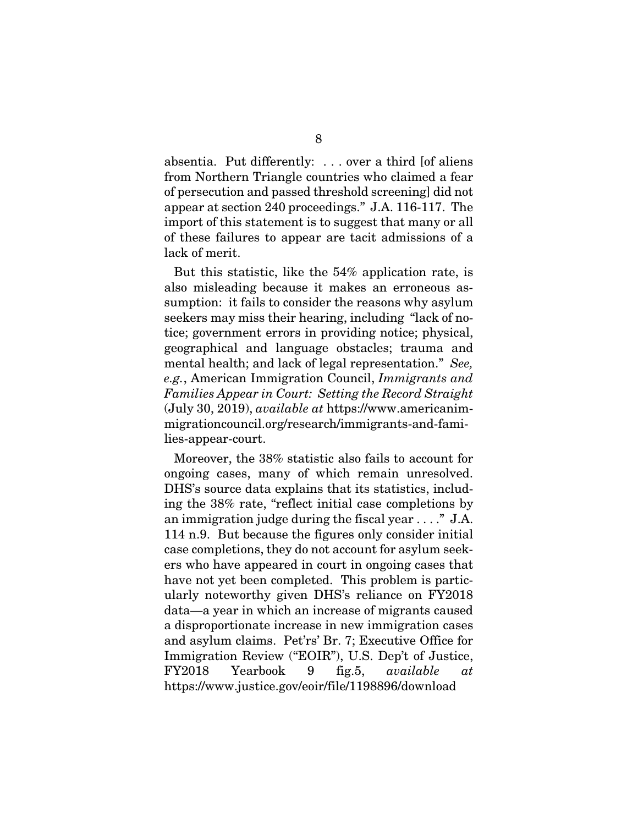$8$ <br>absentia. Put differently: . . . over a third [of aliens from Northern Triangle countries who claimed a fear from Northern Triangle countries who claimed a fear of persecution and passed threshold screening] did not of persecution and passed threshold screening] did not appear at section 240 proceedings." J.A. 116-117. The appear at section 240 proceedings." J.A. 116-117. The import of this statement is to suggest that many or all import of this statement is to suggest that many or all of these failures to appear are tacit admissions of a lack of merit.

But this statistic, like the 54% application rate, is lack of merit.<br>But this statistic, like the 54% application rate, is<br>also misleading because it makes an erroneous assumption: it fails to consider the reasons why asylum seekers may miss their hearing, including "lack of no-seekers may miss their hearing, including "lack of notice; government errors in providing notice; physical, tice; government errors in providing notice; physical, geographical and language obstacles; trauma and geographical and language obstacles; trauma and mental health; and lack of legal representation." See, mental health; and lack of legal representation." *See,*  e.g., American Immigration Council, Immigrants and *e.g.*, American Immigration Council, *Immigrants and*  Families Appear in Court: Setting the Record Straight *Families Appear in Court: Setting the Record Straight* (July 30, 2019), available at https://www.americanim-(July 30, 2019), *available at* https://www.americanimmigrationcouncil.org/research/immigrants-and-families-appear-court.

Moreover, the 38% statistic also fails to account for lies-appear-court. Moreover, the 38% statistic also fails to account for ongoing cases, many of which remain unresolved. ongoing cases, many of which remain unresolved.<br>DHS's source data explains that its statistics, including the 38% rate, "reflect initial case completions by an immigration judge during the fiscal year . . . ." J.A. ing the 38% rate, "reflect initial case completions by an immigration judge during the fiscal year . . . ." J.A. 114 n.9. But because the figures only consider initial 114 n.9. But because the figures only consider initial case completions, they do not account for asylum seek-case completions, they do not account for asylum seekers who have appeared in court in ongoing cases that ers who have appeared in court in ongoing cases that have not yet been completed. This problem is partic-have not yet been completed. This problem is particularly noteworthy given DHS's reliance on FY2018 ularly noteworthy given DHS's reliance on FY2018<br>data—a year in which an increase of migrants caused a disproportionate increase in new immigration cases a disproportionate increase in new immigration cases and asylum claims. Pet'rs' Br. 7; Executive Office for and asylum claims. Pet'rs' Br. 7; Executive Office for Immigration Review ("EOIR"), U.S. Dep't of Justice, Immigration Review ("EOIR"), U.S. Dep't of Justice, FY2018 Yearbook 9 fig.5, available at FY2018 Yearbook 9 fig.5, *available at* https://www.justice.govieoir/file/1198896/download https://www.justice.gov/eoir/file/1198896/download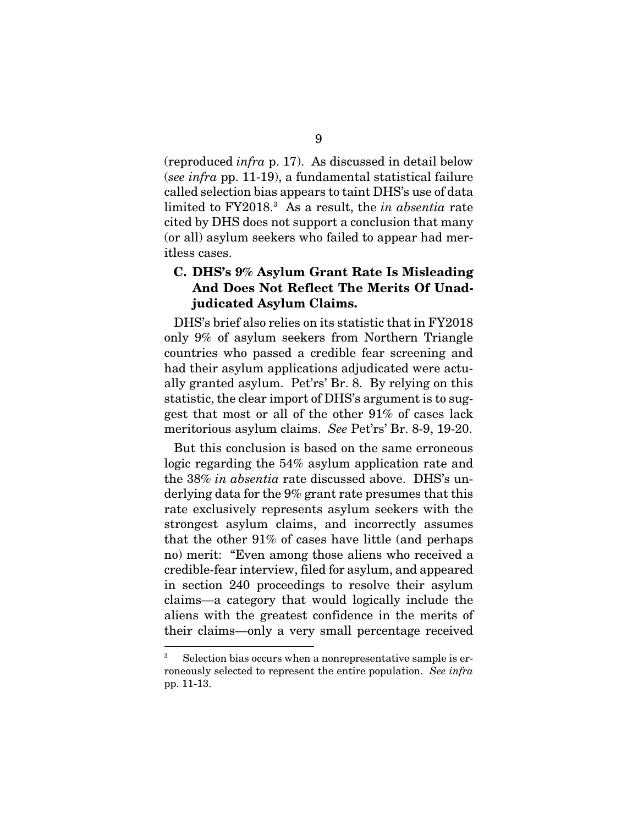(reproduced infra p. 17). As discussed in detail below (reproduced *infra* p. 17). As discussed in detail below<br>(*see infra* pp. 11-19), a fundamental statistical failure called selection bias appears to taint DHS's use of data called selection bias appears to taint DHS's use of data limited to  $FY2018<sup>3</sup>$  As a result, the in absentia rate cited by DHS does not support a conclusion that many (or all) asylum seekers who failed to appear had meritless cases. itless cases. limited to FY2018.<sup>3</sup> As a result, the *in absentia* rate<br>cited by DHS does not support a conclusion that many<br>(or all) asylum seekers who failed to appear had mer-

# C. DHS's 9% Asylum Grant Rate Is Misleading C. DHS's 9% Asylum Grant Rate Is Misleading And Does Not Reflect The Merits Of Unad-And Does Not Reflect The Merits Of Unadjudicated Asylum Claims. judicated Asylum Claims.

DHS's brief also relies on its statistic that in FY2018 DHS's brief also relies on its statistic that in FY2018 only 9% of asylum seekers from Northern Triangle countries who passed a credible fear screening and countries who passed a credible fear screening and had their asylum applications adjudicated were actu-had their asylum applications adjudicated were actually granted asylum. Pet'rs' Br. 8. By relying on this ally granted asylum. Pet'rs' Br. 8. By relying on this statistic, the clear import of DHS's argument is to suggest that most or all of the other 91% of cases lack gest that most or all of the other 91% of cases lack meritorious asylum claims. *See* Pet'rs' Br. 8-9, 19-20.<br>But this conclusion is based on the same erroneous

But this conclusion is based on the same erroneous logic regarding the 54% asylum application rate and logic regarding the 54% asylum application rate and the 38% in absentia rate discussed above. DHS's un-the 38% *in absentia* rate discussed above. DHS's underlying data for the 9% grant rate presumes that this rate exclusively represents asylum seekers with the strongest asylum claims, and incorrectly assumes that the other  $91\%$  of cases have little (and perhaps no) merit: "Even among those aliens who received a no) merit: "Even among those aliens who received a<br>credible-fear interview, filed for asylum, and appeared in section 240 proceedings to resolve their asylum in section 240 proceedings to resolve their asylum claims—a category that would logically include the aliens with the greatest confidence in the merits of aliens with the greatest confidence in the merits of their claims—only a very small percentage received derlying data for the 9% grant rate presumes that this rate exclusively represents asylum seekers with the strongest asylum claims, and incorrectly assumes

<sup>3</sup> Selection bias occurs when a nonrepresentative sample is er- Selection bias occurs when a nonrepresentative sample is erroneously selected to represent the entire population. See infra roneously selected to represent the entire population. *See infra* pp. 11-13. pp. 11-13. 3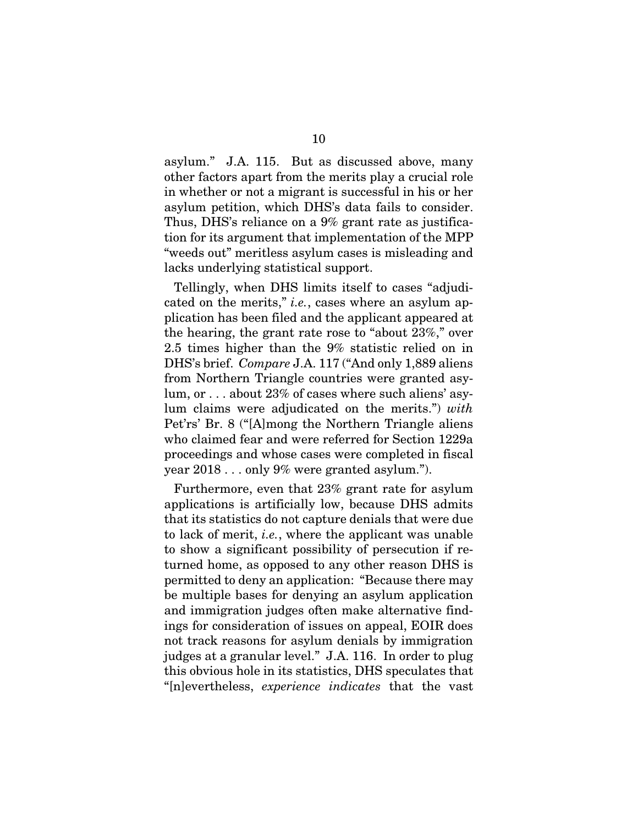asylum." J.A. 115. But as discussed above, many other factors apart from the merits play a crucial role in whether or not a migrant is successful in his or her in whether or not a migrant is successful in his or her asylum petition, which DHS's data fails to consider. Thus, DHS's reliance on a 9% grant rate as justifica-asylum petition, which DHS's data fails to consider. Thus, DHS's reliance on a 9% grant rate as justification for its argument that implementation of the MPP tion for its argument that implementation of the MPP "weeds out" meritless asylum cases is misleading and lacks underlying statistical support. lacks underlying statistical support. 10<br>10 asylum." J.A. 115. But as discussed above, many<br>115. other factors apart from the merits play a crucial role

Tellingly, when DHS limits itself to cases "adjudi-Tellingly, when DHS limits itself to cases "adjudicated on the merits," *i.e.*, cases where an asylum application has been filed and the applicant appeared at plication has been filed and the applicant appeared at the hearing, the grant rate rose to "about 23%," over 2.5 times higher than the 9% statistic relied on in 2.5 times higher than the 9% statistic relied on in DHS's brief. Compare J.A. 117 ("And only 1,889 aliens DHS's brief. *Compare* J.A. 117 ("And only 1,889 aliens from Northern Triangle countries were granted asy-from Northern Triangle countries were granted asylum, or . . . about 23% of cases where such aliens' asy-lum, or . . . about 23% of cases where such aliens' asylum claims were adjudicated on the merits.") with lum claims were adjudicated on the merits.") *with* Pet'rs' Br. 8 ("[A]mong the Northern Triangle aliens Pet'rs' Br. 8 ("[A]mong the Northern Triangle aliens who claimed fear and were referred for Section 1229a who claimed fear and were referred for Section 1229a proceedings and whose cases were completed in fiscal year 2018 . . . only 9% were granted asylum."). proceedings and whose cases were completed in fiscal<br>year 2018 . . . only 9% were granted asylum.").<br>Furthermore, even that 23% grant rate for asylum

applications is artificially low, because DHS admits applications is artificially low, because DHS admits that its statistics do not capture denials that were due to lack of merit, i.e., where the applicant was unable to lack of merit, *i.e.*, where the applicant was unable to show a significant possibility of persecution if re-to show a significant possibility of persecution if returned home, as opposed to any other reason DHS is permitted to deny an application: "Because there may turned home, as opposed to any other reason DHS is<br>permitted to deny an application: "Because there may<br>be multiple bases for denying an asylum application and immigration judges often make alternative find-and immigration judges often make alternative findings for consideration of issues on appeal, EOIR does ings for consideration of issues on appeal, EOIR does not track reasons for asylum denials by immigration not track reasons for asylum denials by immigration judges at a granular level." J.A. 116. In order to plug judges at a granular level." J.A. 116. In order to plug<br>this obvious hole in its statistics, DHS speculates that Inlevertheless, experience indicates that the vast "[n]evertheless, *experience indicates* that the vast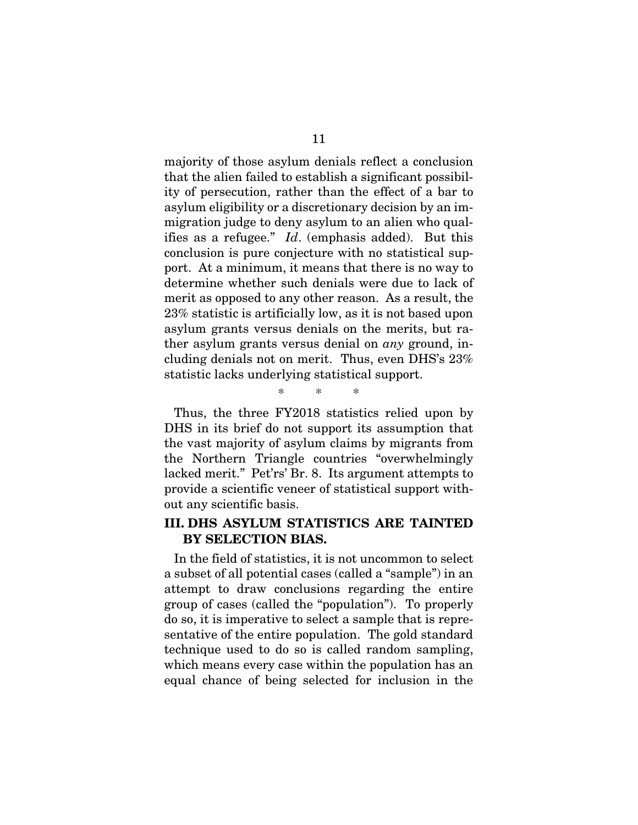majority of those asylum denials reflect a conclusion that the alien failed to establish a significant possibil-majority of those asylum denials reflect a conclusion that the alien failed to establish a significant possibility of persecution, rather than the effect of a bar to asylum eligibility or a discretionary decision by an im-asylum eligibility or a discretionary decision by an immigration judge to deny asylum to an alien who qual-migration judge to deny asylum to an alien who qualifies as a refugee." Id. (emphasis added). But this ifies as a refugee." *Id*. (emphasis added). But this conclusion is pure conjecture with no statistical support. At a minimum, it means that there is no way to port. At a minimum, it means that there is no way to determine whether such denials were due to lack of determine whether such denials were due to lack of<br>merit as opposed to any other reason. As a result, the 23% statistic is artificially low, as it is not based upon 23% statistic is artificially low, as it is not based upon asylum grants versus denials on the merits, but ra-asylum grants versus denials on the merits, but rather asylum grants versus denial on any ground, in-ther asylum grants versus denial on *any* ground, including denials not on merit. Thus, even DHS's 23%<br>statistic lacks underlying statistical support. statistic lacks underlying statistical support.

Thus, the three FY2018 statistics relied upon by Thus, the three FY2018 statistics relied upon by DHS in its brief do not support its assumption that DHS in its brief do not support its assumption that the vast majority of asylum claims by migrants from the Northern Triangle countries "overwhelmingly lacked merit." Pet'rs' Br. 8. Its argument attempts to provide a scientific veneer of statistical support without any scientific basis. out any scientific basis. the vast majority of asylum claims by migrants from the Northern Triangle countries "overwhelmingly lacked merit." Pet'rs' Br. 8. Its argument attempts to provide a scientific veneer of statistical support with-

\* \* \*

\* \* \*

# III. DHS ASYLUM STATISTICS ARE TAINTED III. DHS ASYLUM STATISTICS ARE TAINTED BY SELECTION BIAS. BY SELECTION BIAS.

In the field of statistics, it is not uncommon to select In the field of statistics, it is not uncommon to select a subset of all potential cases (called a "sample") in an a subset of all potential cases (called a "sample") in an attempt to draw conclusions regarding the entire attempt to draw conclusions regarding the entire group of cases (called the "population"). To properly group of cases (called the "population"). To properly do so, it is imperative to select a sample that is repredo so, it is imperative to select a sample that is representative of the entire population. The gold standard technique used to do so is called random sampling, technique used to do so is called random sampling, which means every case within the population has an which means every case within the population has an equal chance of being selected for inclusion in the equal chance of being selected for inclusion in the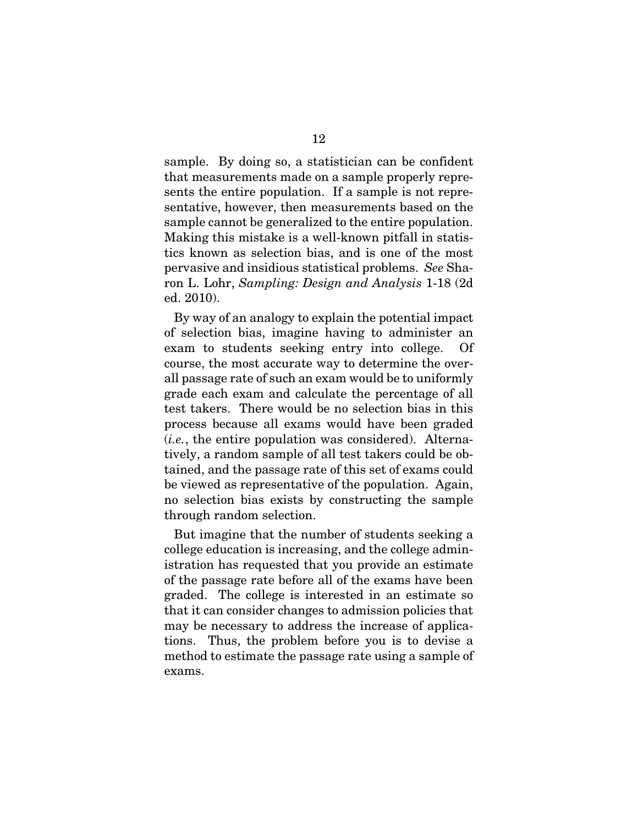sample. By doing so, a statistician can be confident 12 sample. By doing so, a statistician can be confident that measurements made on a sample properly repre-that measurements made on a sample properly represents the entire population. If a sample is not representative, however, then measurements based on the sample cannot be generalized to the entire population. Making this mistake is a well-known pitfall in statistics known as selection bias, and is one of the most tics known as selection bias, and is one of the most pervasive and insidious statistical problems. See Sha-pervasive and insidious statistical problems. *See* Sharon L. Lohr, *Sampling: Design and Analysis* 1-18 (2d) ed. 2010). ed. 2010). sentative, however, then measurements based on the<br>sample cannot be generalized to the entire population.<br>Making this mistake is a well-known pitfall in statis-

By way of an analogy to explain the potential impact By way of an analogy to explain the potential impact of selection bias, imagine having to administer an exam to students seeking entry into college. Of exam to students seeking entry into college. Of<br>course, the most accurate way to determine the overall passage rate of such an exam would be to uniformly all passage rate of such an exam would be to uniformly<br>grade each exam and calculate the percentage of all test takers. There would be no selection bias in this process because all exams would have been graded process because all exams would have been graded (i.e., the entire population was considered). Alterna-(*i.e.*, the entire population was considered). Alternatively, a random sample of all test takers could be ob-tively, a random sample of all test takers could be obtained, and the passage rate of this set of exams could tained, and the passage rate of this set of exams could be viewed as representative of the population. Again, be viewed as representative of the population. Again, no selection bias exists by constructing the sample no selection bias exists by constructing the sample through random selection.

through random selection.<br>But imagine that the number of students seeking a college education is increasing, and the college admin-college education is increasing, and the college administration has requested that you provide an estimate istration has requested that you provide an estimate of the passage rate before all of the exams have been of the passage rate before all of the exams have been graded. The college is interested in an estimate so graded. The college is interested in an estimate so that it can consider changes to admission policies that may be necessary to address the increase of applica-may be necessary to address the increase of applications. Thus, the problem before you is to devise a tions. Thus, the problem before you is to devise a method to estimate the passage rate using a sample of method to estimate the passage rate using a sample of exams. exams.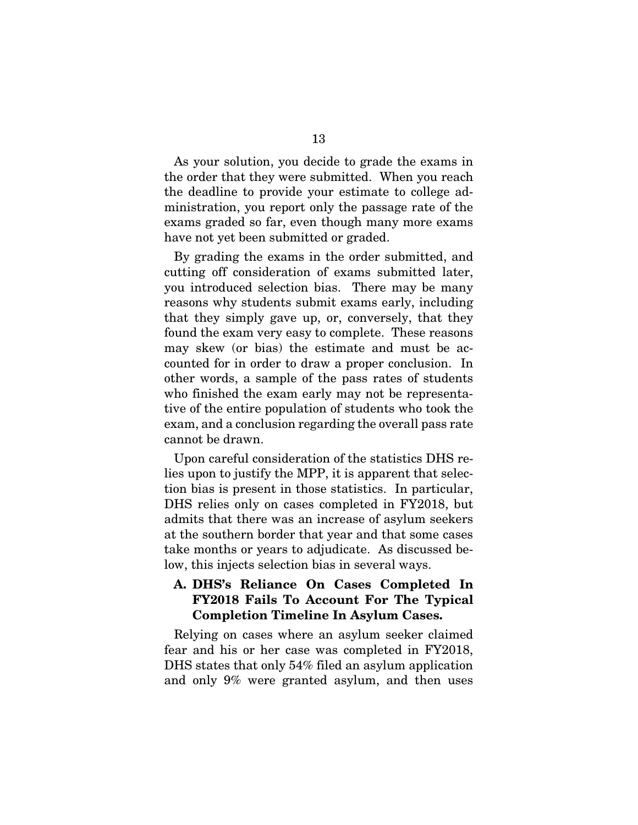As your solution, you decide to grade the exams in the order that they were submitted. When you reach the deadline to provide your estimate to college administration, you report only the passage rate of the exams graded so far, even though many more exams ministration, you report only the passage rate of the exams graded so far, even though many more exams have not yet been submitted or graded. 13<br>As your solution, you decide to grade the exams in<br>the order that they were submitted. When you reach<br>the deadline to provide your estimate to college ad-

By grading the exams in the order submitted, and cutting off consideration of exams submitted later, you introduced selection bias. There may be many reasons why students submit exams early, including that they simply gave up, or, conversely, that they found the exam very easy to complete. These reasons may skew (or bias) the estimate and must be ac-may skew (or bias) the estimate and must be accounted for in order to draw a proper conclusion. In counted for in order to draw a proper conclusion. In other words, a sample of the pass rates of students who finished the exam early may not be representa-who finished the exam early may not be representative of the entire population of students who took the tive of the entire population of students who took the exam, and a conclusion regarding the overall pass rate<br>cannot be drawn.<br>Upon careful consideration of the statistics DHS recannot be drawn. have not yet been submitted or graded. By grading the exams in the order submitted, and cutting off consideration of exams submitted later, you introduced selection bias. There may be many reasons why students submit exams early, including that they simply gave up, or, conversely, that they found the exam very easy to complete. These reasons

Upon careful consideration of the statistics DHS relies upon to justify the MPP, it is apparent that selec-lies upon to justify the MPP, it is apparent that selection bias is present in those statistics. In particular, tion bias is present in those statistics. In particular, DHS relies only on cases completed in FY2018, but DHS relies only on cases completed in FY2018, but admits that there was an increase of asylum seekers admits that there was an increase of asylum seekers at the southern border that year and that some cases at the southern border that year and that some cases take months or years to adjudicate. As discussed below, this injects selection bias in several ways. low, this injects selection bias in several ways.

## A. DHS's Reliance On Cases Completed In<br>FY2018 Fails To Account For The Typical<br>Completion Timeline In Asylum Cases. FY2018 Fails To Account For The Typical Completion Timeline In Asylum Cases.

Relying on cases where an asylum seeker claimed Relying on cases where an asylum seeker claimed fear and his or her case was completed in FY2018, fear and his or her case was completed in FY2018, DHS states that only 54% filed an asylum application DHS states that only 54% filed an asylum application and only 9% were granted asylum, and then uses and only 9% were granted asylum, and then uses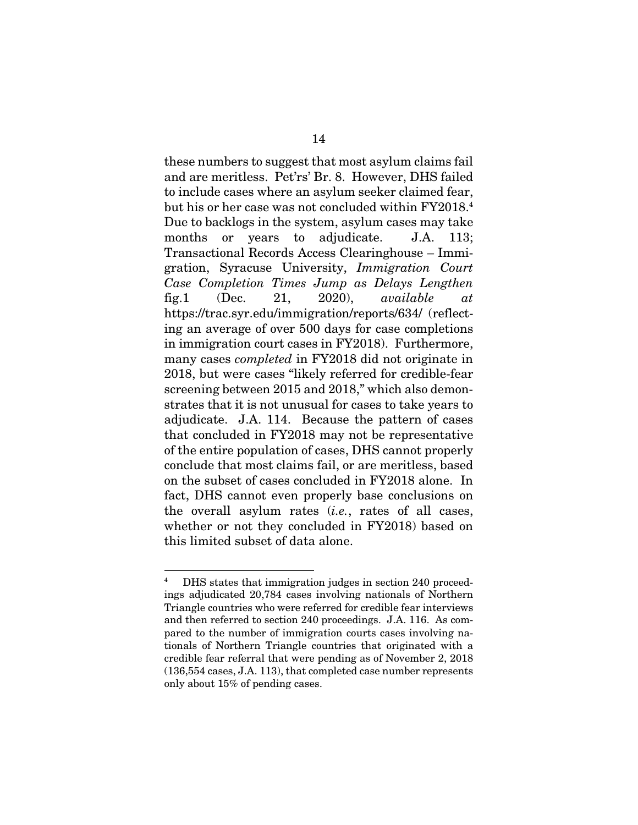these numbers to suggest that most asylum claims fail 14 these numbers to suggest that most asylum claims fail and are meritless. Pet'rs' Br. 8. However, DHS failed and are meritless. Pet'rs' Br. 8. However, DHS failed to include cases where an asylum seeker claimed fear, to include cases where an asylum seeker claimed fear, but his or her case was not concluded within FY2018.4 but his or her case was not concluded within FY2018.<sup>4</sup> Due to backlogs in the system, asylum cases may take Due to backlogs in the system, asylum cases may take months or years to adjudicate. J.A. 113; months or years to adjudicate. J.A. 113;<br>Transactional Records Access Clearinghouse – Immigration, Syracuse University, Immigration Court gration, Syracuse University, *Immigration Court*  Case Completion Times Jump as Delays Lengthen *Case Completion Times Jump as Delays Lengthen* fig.1 (Dec. 21, 2020), available at fig.1 (Dec. 21, 2020), *available at* httpsi/trac.syr.edu/immigration/reports/634/ (reflect-https://trac.syr.edu/immigration/reports/634/ (reflecting an average of over 500 days for case completions ing an average of over 500 days for case completions in immigration court cases in FY2018). Furthermore, in immigration court cases in FY2018). Furthermore, many cases completed in FY2018 did not originate in many cases *completed* in FY2018 did not originate in 2018, but were cases "likely referred for credible-fear 2018, but were cases "likely referred for credible-fear screening between 2015 and 2018," which also demon-screening between 2015 and 2018," which also demonstrates that it is not unusual for cases to take years to adjudicate. J.A. 114. Because the pattern of cases adjudicate. J.A. 114. Because the pattern of cases that concluded in FY2018 may not be representative that concluded in FY2018 may not be representative of the entire population of cases, DHS cannot properly of the entire population of cases, DHS cannot properly conclude that most claims fail, or are meritless, based on the subset of cases concluded in FY2018 alone. In fact, DHS cannot even properly base conclusions on fact, DHS cannot even properly base conclusions on the overall asylum rates (*i.e.*, rates of all cases, whether or not they concluded in FY2018) based on whether or not they concluded in FY2018) based on this limited subset of data alone. this limited subset of data alone.

<sup>4</sup> DHS states that immigration judges in section 240 proceed- DHS states that immigration judges in section 240 proceedings adjudicated 20,784 cases involving nationals of Northern ings adjudicated 20,784 cases involving nationals of Northern Triangle countries who were referred for credible fear interviews and then referred to section 240 proceedings. J.A. 116. As com-Triangle countries who were referred for credible fear interviews and then referred to section 240 proceedings. J.A. 116. As compared to the number of immigration courts cases involving na-pared to the number of immigration courts cases involving nationals of Northern Triangle countries that originated with a tionals of Northern Triangle countries that originated with a<br>credible fear referral that were pending as of November 2, 2018 (136,554 cases, J.A. 113), that completed case number represents (136,554 cases, J.A. 113), that completed case number represents only about 15% of pending cases. 4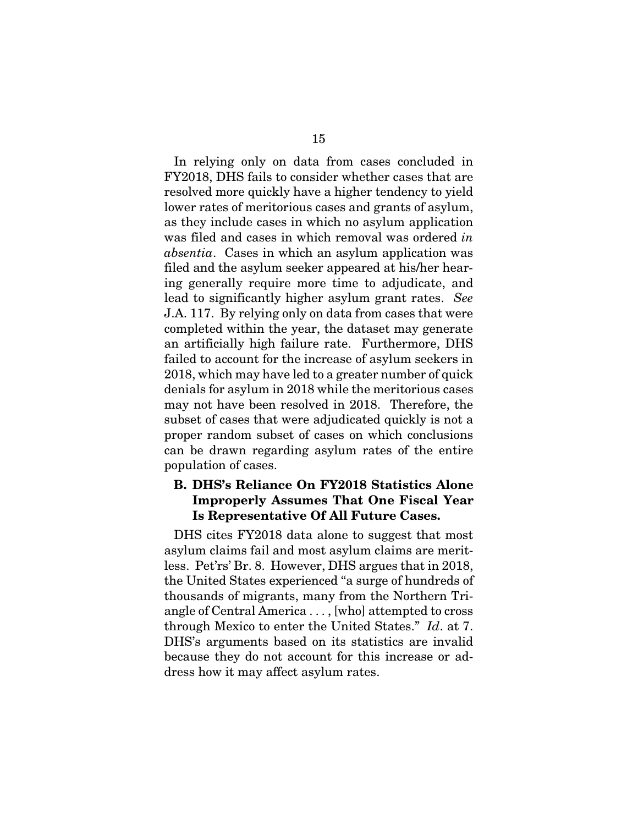In relying only on data from cases concluded in FY2018, DHS fails to consider whether cases that are 15 In relying only on data from cases concluded in FY2018, DHS fails to consider whether cases that are resolved more quickly have a higher tendency to yield resolved more quickly have a higher tendency to yield lower rates of meritorious cases and grants of asylum, lower rates of meritorious cases and grants of asylum, as they include cases in which no asylum application as they include cases in which no asylum application was filed and cases in which removal was ordered in was filed and cases in which removal was ordered *in*  absentia. Cases in which an asylum application was *absentia*. Cases in which an asylum application was filed and the asylum seeker appeared at his/her hear-filed and the asylum seeker appeared at his/her hearing generally require more time to adjudicate, and lead to significantly higher asylum grant rates. See ing generally require more time to adjudicate, and lead to significantly higher asylum grant rates. *See* J.A. 117. By relying only on data from cases that were J.A. 117. By relying only on data from cases that were completed within the year, the dataset may generate completed within the year, the dataset may generate an artificially high failure rate. Furthermore, DHS failed to account for the increase of asylum seekers in an artificially high failure rate. Furthermore, DHS failed to account for the increase of asylum seekers in 2018, which may have led to a greater number of quick 2018, which may have led to a greater number of quick denials for asylum in 2018 while the meritorious cases denials for asylum in 2018 while the meritorious cases<br>may not have been resolved in 2018. Therefore, the subset of cases that were adjudicated quickly is not a subset of cases that were adjudicated quickly is not a proper random subset of cases on which conclusions proper random subset of cases on which conclusions can be drawn regarding asylum rates of the entire can be drawn regarding asylum rates of the entire population of cases. population of cases.

### B. DHS's Reliance On FY2018 Statistics Alone Improperly Assumes That One Fiscal Year B. DHS's Reliance On FY2018 Statistics Alone Improperly Assumes That One Fiscal Year Is Representative Of All Future Cases. Is Representative Of All Future Cases.

DHS cites FY2018 data alone to suggest that most DHS cites FY2018 data alone to suggest that most asylum claims fail and most asylum claims are merit-asylum claims fail and most asylum claims are meritless. Pet'rs' Br. 8. However, DHS argues that in 2018, less. Pet'rs' Br. 8. However, DHS argues that in 2018, the United States experienced "a surge of hundreds of the United States experienced "a surge of hundreds of<br>thousands of migrants, many from the Northern Triangle of Central America..., [who] attempted to cross angle of Central America . . . , [who] attempted to cross through Mexico to enter the United States." Id. at 7. through Mexico to enter the United States." *Id*. at 7. DHS's arguments based on its statistics are invalid DHS's arguments based on its statistics are invalid because they do not account for this increase or ad-because they do not account for this increase or address how it may affect asylum rates. dress how it may affect asylum rates.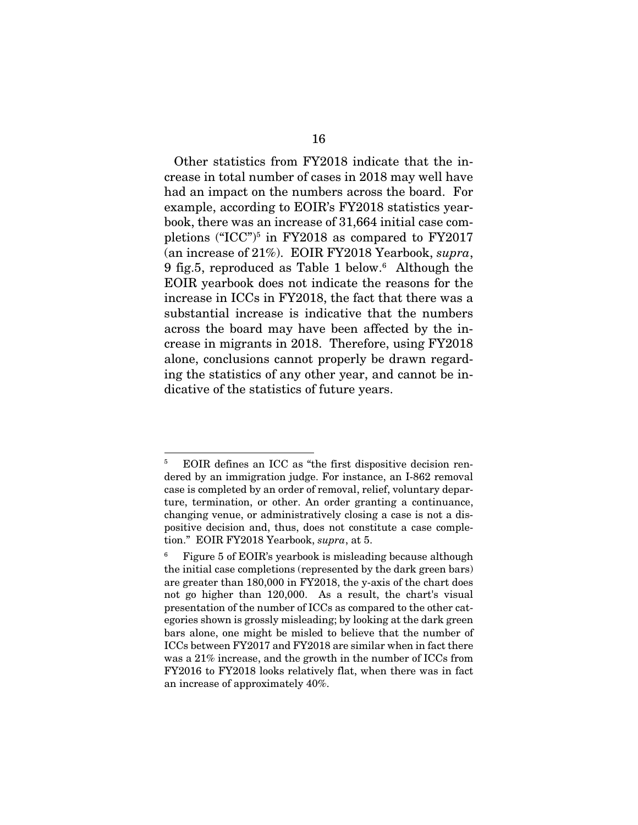Other statistics from FY2018 indicate that the in-16 Other statistics from FY2018 indicate that the increase in total number of cases in 2018 may well have crease in total number of cases in 2018 may well have had an impact on the numbers across the board. For had an impact on the numbers across the board. For example, according to EOIR's FY2018 statistics year-example, according to EOIR's FY2018 statistics yearbook, there was an increase of 31,664 initial case com-book, there was an increase of 31,664 initial case completions ("ICC")<sup>5</sup> in FY2018 as compared to FY2017 pletions ("ICC")<sup>5</sup> in FY2018 as compared to FY2017 (an increase of 21%). EOIR FY2018 Yearbook, *supra*, 9 fig.5, reproduced as Table 1 below.<sup>6</sup> Although the EOIR yearbook does not indicate the reasons for the increase in ICCs in FY2018, the fact that there was a EOIR yearbook does not indicate the reasons for the increase in ICCs in FY2018, the fact that there was a substantial increase is indicative that the numbers substantial increase is indicative that the numbers across the board may have been affected by the in-across the board may have been affected by the increase in migrants in 2018. Therefore, using FY2018 crease in migrants in 2018. Therefore, using FY2018<br>alone, conclusions cannot properly be drawn regarding the statistics of any other year, and cannot be indicative of the statistics of future years. dicative of the statistics of future years.

<sup>5</sup> EOIR defines an ICC as "the first dispositive decision ren- EOIR defines an ICC as "the first dispositive decision rendered by an immigration judge. For instance, an I-862 removal dered by an immigration judge. For instance, an I-862 removal<br>case is completed by an order of removal, relief, voluntary departure, termination, or other. An order granting a continuance, ture, termination, or other. An order granting a continuance, changing venue, or administratively closing a case is not a dis-changing venue, or administratively closing a case is not a dispositive decision and, thus, does not constitute a case comple-positive decision and, thus, does not constitute a case completion." EOIR FY2018 Yearbook, supra, at 5. tion." EOIR FY2018 Yearbook, *supra*, at 5. 5

Figure 5 of EOIR's yearbook is misleading because although the initial case completions (represented by the dark green bars) are greater than 180,000 in FY2018, the y-axis of the chart does not go higher than 120,000. As a result, the chart's visual not go higher than 120,000. As a result, the chart's visual presentation of the number of ICCs as compared to the other cat-presentation of the number of ICCs as compared to the other categories shown is grossly misleading; by looking at the dark green bars alone, one might be misled to believe that the number of egories shown is grossly misleading; by looking at the dark green bars alone, one might be misled to believe that the number of ICCs between FY2017 and FY2018 are similar when in fact there was a 21% increase, and the growth in the number of ICCs from FY2016 to FY2018 looks relatively flat, when there was in fact an increase of approximately 40%. an increase of approximately 40%. 6 Figure 5 of EOIR's yearbook is misleading because although the initial case completions (represented by the dark green bars) are greater than 180,000 in FY2018, the y-axis of the chart does ICCs between FY2017 and FY2018 are similar when in fact there was a 21% increase, and the growth in the number of ICCs from FY2016 to FY2018 looks relatively flat, when there was in fact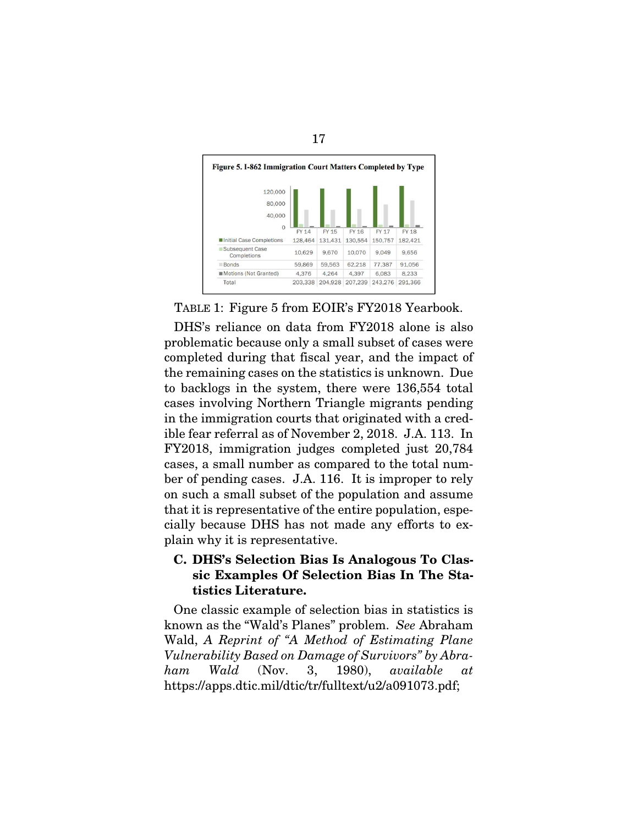

17

TABLE 1: Figure 5 from EOIR's FY2018 Yearbook.

DHS's reliance on data from FY2018 alone is also problematic because only a small subset of cases were completed during that fiscal year, and the impact of problematic because only a small subset of cases were completed during that fiscal year, and the impact of the remaining cases on the statistics is unknown. Due the remaining cases on the statistics is unknown. Due<br>to backlogs in the system, there were 136,554 total cases involving Northern Triangle migrants pending in the immigration courts that originated with a cred-cases involving Northern Triangle migrants pending in the immigration courts that originated with a credible fear referral as of November 2, 2018. J.A. 113. In ible fear referral as of November 2, 2018. J.A. 113. In FY2018, immigration judges completed just 20,784 cases, a small number as compared to the total num-FY2018, immigration judges completed just 20,784 cases, a small number as compared to the total number of pending cases. J.A. 116. It is improper to rely on such a small subset of the population and assume ber of pending cases. J.A. 116. It is improper to rely on such a small subset of the population and assume that it is representative of the entire population, espe-that it is representative of the entire population, especially because DHS has not made any efforts to ex-cially because DHS has not made any efforts to explain why it is representative. plain why it is representative.

# C. DHS's Selection Bias Is Analogous To Clas-C. DHS's Selection Bias Is Analogous To Classic Examples Of Selection Bias In The Statistics Literature. tistics Literature.

One classic example of selection bias in statistics is known as the "Wald's Planes" problem. See Abraham One classic example of selection bias in statistics is known as the "Wald's Planes" problem. *See* Abraham Wald, A Reprint of "A Method of Estimating Plane Wald, *A Reprint of "A Method of Estimating Plane*  Vulnerability Based on Damage of Survivors" by Abra-*Vulnerability Based on Damage of Survivors" by Abra*ham Wald (Nov. 3, 1980), available at *ham Wald* (Nov. 3, 1980), *available at* https ://apps .dtic. mil/dtichr/fulltext/u2/a091073 .pdf; https://apps.dtic.mil/dtic/tr/fulltext/u2/a091073.pdf;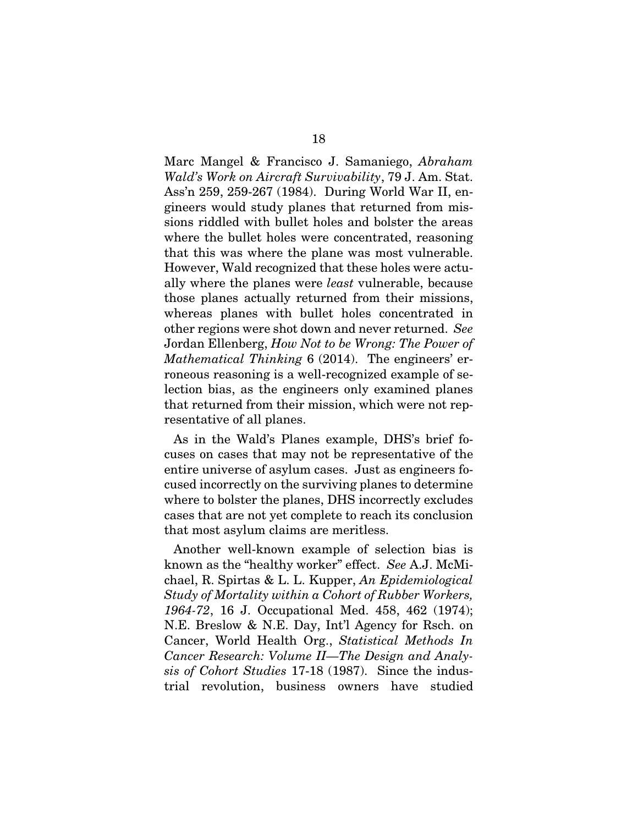Marc Mangel & Francisco J. Samaniego, Abraham 18 Marc Mangel & Francisco J. Samaniego, *Abraham*  Wald's Work on Aircraft Survivability, 79 J. Am. Stat. *Wald's Work on Aircraft Survivability*, 79 J. Am. Stat. Ass'n 259, 259-267 (1984). During World War II, en-Ass'n 259, 259-267 (1984). During World War II, engineers would study planes that returned from mis-gineers would study planes that returned from missions riddled with bullet holes and bolster the areas where the bullet holes were concentrated, reasoning that this was where the plane was most vulnerable. However, Wald recognized that these holes were actually where the planes were least vulnerable, because ally where the planes were *least* vulnerable, because those planes actually returned from their missions, those planes actually returned from their missions, whereas planes with bullet holes concentrated in whereas planes with bullet holes concentrated in other regions were shot down and never returned. See other regions were shot down and never returned. *See* Jordan Ellenberg, How Not to be Wrong: The Power of Mathematical Thinking 6 (2014). The engineers' er-Jordan Ellenberg, *How Not to be Wrong: The Power of Mathematical Thinking* 6 (2014). The engineers' erroneous reasoning is a well-recognized example of se-roneous reasoning is a well-recognized example of selection bias, as the engineers only examined planes lection bias, as the engineers only examined planes that returned from their mission, which were not representative of all planes. sions riddled with bullet holes and bolster the areas where the bullet holes were concentrated, reasoning that this was where the plane was most vulnerable. However, Wald recognized that these holes were actu-

resentative of all planes.<br>As in the Wald's Planes example, DHS's brief focuses on cases that may not be representative of the entire universe of asylum cases. Just as engineers fo-cuses on cases that may not be representative of the entire universe of asylum cases. Just as engineers focused incorrectly on the surviving planes to determine cused incorrectly on the surviving planes to determine where to bolster the planes, DHS incorrectly excludes where to bolster the planes, DHS incorrectly excludes cases that are not yet complete to reach its conclusion that most asylum claims are meritless.

Another well-known example of selection bias is cases that are not yet complete to reach its conclusion<br>that most asylum claims are meritless.<br>Another well-known example of selection bias is<br>known as the "healthy worker" effect. *See* A.J. McMichael, R. Spirtas & L. L. Kupper, An Epidemiological chael, R. Spirtas & L. L. Kupper, *An Epidemiological*  Study of Mortality within a Cohort of Rubber Workers, *Study of Mortality within a Cohort of Rubber Workers,*  1964-72, 16 J. Occupational Med. 458, 462 (1974); N.E. Breslow & N.E. Day, Intl Agency for Rsch. on *1964-72*, 16 J. Occupational Med. 458, 462 (1974); N.E. Breslow & N.E. Day, Int'l Agency for Rsch. on Cancer, World Health Org., Statistical Methods In Cancer, World Health Org., *Statistical Methods In*  Cancer Research: Volume II—The Design and Analy-*Cancer Research: Volume II—The Design and Analy*sis of Cohort Studies 17-18 (1987). Since the indus-*sis of Cohort Studies* 17-18 (1987). Since the industrial revolution, business owners have studied trial revolution, business owners have studied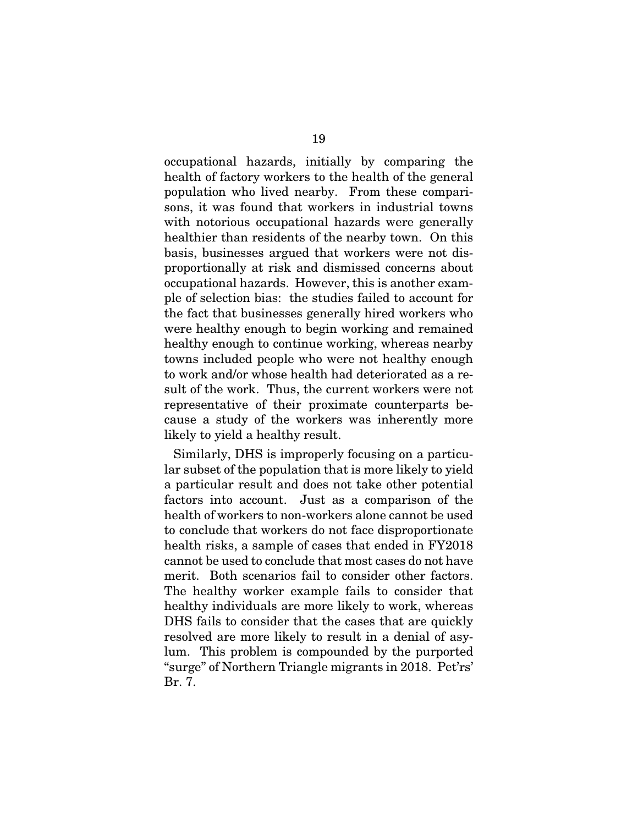occupational hazards, initially by comparing the health of factory workers to the health of the general population who lived nearby. From these compari-population who lived nearby. From these comparisons, it was found that workers in industrial towns sons, it was found that workers in industrial towns with notorious occupational hazards were generally healthier than residents of the nearby town. On this basis, businesses argued that workers were not disproportionally at risk and dismissed concerns about proportionally at risk and dismissed concerns about occupational hazards. However, this is another exam-occupational hazards. However, this is another example of selection bias: the studies failed to account for ple of selection bias: the studies failed to account for the fact that businesses generally hired workers who the fact that businesses generally hired workers who<br>were healthy enough to begin working and remained healthy enough to continue working, whereas nearby healthy enough to continue working, whereas nearby<br>towns included people who were not healthy enough to work and/or whose health had deteriorated as a re-to work and/or whose health had deteriorated as a result of the work. Thus, the current workers were not representative of their proximate counterparts because a study of the workers was inherently more cause a study of the workers was inherently more likely to yield a healthy result. 19 occupational hazards, initially by comparing the health of factory workers to the health of the general with notorious occupational hazards were generally<br>healthier than residents of the nearby town. On this<br>basis, businesses argued that workers were not dis-

Similarly, DHS is improperly focusing on a particu-likely to yield a healthy result. Similarly, DHS is improperly focusing on a particular subset of the population that is more likely to yield a particular result and does not take other potential lar subset of the population that is more likely to yield a particular result and does not take other potential factors into account. Just as a comparison of the health of workers to non-workers alone cannot be used factors into account. Just as a comparison of the health of workers to non-workers alone cannot be used to conclude that workers do not face disproportionate to conclude that workers do not face disproportionate health risks, a sample of cases that ended in FY2018 cannot be used to conclude that most cases do not have health risks, a sample of cases that ended in FY2018 cannot be used to conclude that most cases do not have merit. Both scenarios fail to consider other factors. merit. Both scenarios fail to consider other factors.<br>The healthy worker example fails to consider that healthy individuals are more likely to work, whereas healthy individuals are more likely to work, whereas DHS fails to consider that the cases that are quickly resolved are more likely to result in a denial of asy-DHS fails to consider that the cases that are quickly resolved are more likely to result in a denial of asylum. This problem is compounded by the purported "surge" of Northern Triangle migrants in 2018. Pet'rs' Br. 7. lum. This problem is compounded by the purported "surge" of Northern Triangle migrants in 2018. Pet'rs' Br. 7.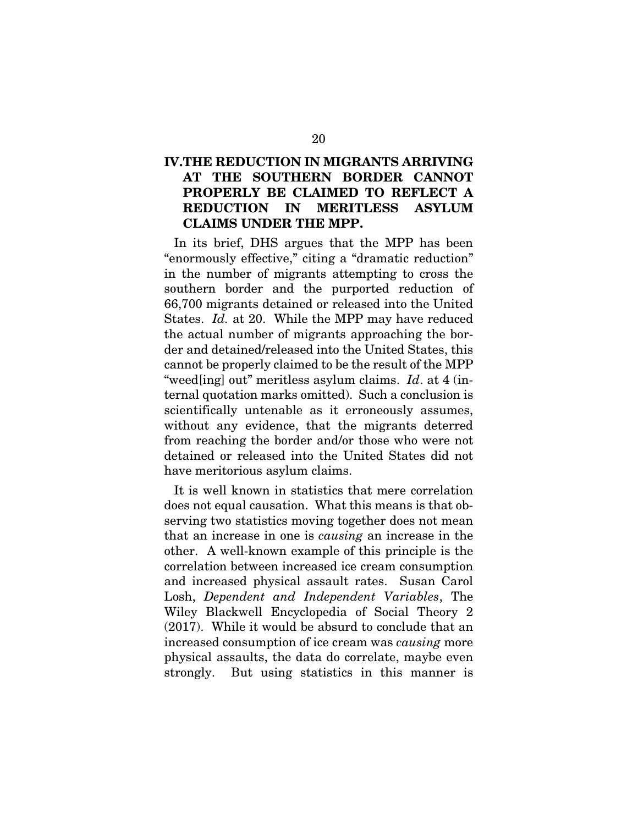### IV.THE REDUCTION IN MIGRANTS ARRIVING IV.THE REDUCTION IN MIGRANTS ARRIVING AT THE SOUTHERN BORDER CANNOT PROPERLY BE CLAIMED TO REFLECT A REDUCTION IN MERITLESS ASYLUM CLAIMS UNDER THE MPP. AT THE SOUTHERN BORDER CANNOT<br>PROPERLY BE CLAIMED TO REFLECT A<br>REDUCTION IN MERITLESS ASYLUM<br>CLAIMS UNDER THE MPP.

In its brief, DHS argues that the MPP has been In its brief, DHS argues that the MPP has been "enormously effective," citing a "dramatic reduction" in the number of migrants attempting to cross the "enormously effective," citing a "dramatic reduction"<br>in the number of migrants attempting to cross the<br>southern border and the purported reduction of 66,700 migrants detained or released into the United 66,700 migrants detained or released into the United States. Id. at 20. While the MPP may have reduced States. *Id.* at 20. While the MPP may have reduced the actual number of migrants approaching the bor-the actual number of migrants approaching the border and detained/released into the United States, this cannot be properly claimed to be the result of the MPP der and detained/released into the United States, this<br>cannot be properly claimed to be the result of the MPP<br>"weed[ing] out" meritless asylum claims.  $Id$ . at 4 (internal quotation marks omitted). Such a conclusion is ternal quotation marks omitted). Such a conclusion is scientifically untenable as it erroneously assumes, without any evidence, that the migrants deterred without any evidence, that the migrants deterred from reaching the border and/or those who were not from reaching the border and/or those who were not detained or released into the United States did not detained or released into the United States did not have meritorious asylum claims.

It is well known in statistics that mere correlation have meritorious asylum claims.<br>It is well known in statistics that mere correlation<br>does not equal causation. What this means is that observing two statistics moving together does not mean that an increase in one is causing an increase in the that an increase in one is *causing* an increase in the other. A well-known example of this principle is the correlation between increased ice cream consumption other. A well-known example of this principle is the correlation between increased ice cream consumption and increased physical assault rates. Susan Carol and increased physical assault rates. Susan Carol Losh, Dependent and Independent Variables, The Losh, *Dependent and Independent Variables*, The Wiley Blackwell Encyclopedia of Social Theory 2 Wiley Blackwell Encyclopedia of Social Theory 2 (2017). While it would be absurd to conclude that an (2017). While it would be absurd to conclude that an increased consumption of ice cream was causing more increased consumption of ice cream was *causing* more physical assaults, the data do correlate, maybe even physical assaults, the data do correlate, maybe even strongly. But using statistics in this manner is strongly. But using statistics in this manner is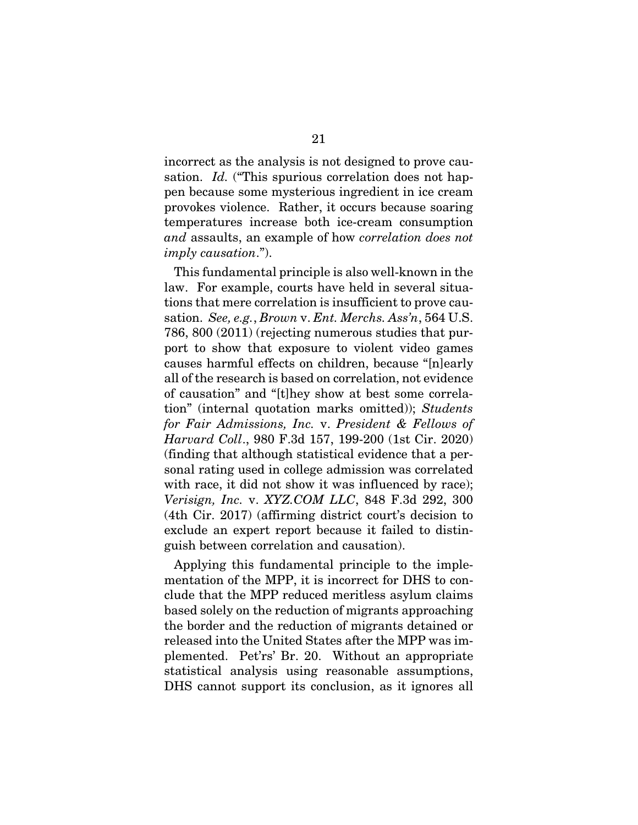incorrect as the analysis is not designed to prove cau-incorrect as the analysis is not designed to prove causation. *Id.* ("This spurious correlation does not happen because some mysterious ingredient in ice cream pen because some mysterious ingredient in ice cream provokes violence. Rather, it occurs because soaring provokes violence. Rather, it occurs because soaring temperatures increase both ice-cream consumption and assaults, an example of how correlation does not *and* assaults, an example of how *correlation does not*  imply causation.").

This fundamental principle is also well-known in the *imply causation."*).<br>This fundamental principle is also well-known in the<br>law. For example, courts have held in several situations that mere correlation is insufficient to prove cau-tions that mere correlation is insufficient to prove causation. See, e.g., Brown v. Ent. Merchs. Ass'n, 564 U.S. 786, 800 (2011) (rejecting numerous studies that pur-sation. *See, e.g.*, *Brown* v. *Ent. Merchs. Ass'n*, 564 U.S. 786, 800 (2011) (rejecting numerous studies that purport to show that exposure to violent video games port to show that exposure to violent video games causes harmful effects on children, because "[n]early all of the research is based on correlation, not evidence causes harmful effects on children, because "[n]early all of the research is based on correlation, not evidence of causation" and "[t]hey show at best some correlation" (internal quotation marks omitted)); Students tion" (internal quotation marks omitted)); *Students*  for Fair Admissions, Inc. v. President & Fellows of Harvard Coll., 980 F.3d 157, 199-200 (1st Cir. 2020) *for Fair Admissions, Inc.* v. *President & Fellows of Harvard Coll*., 980 F.3d 157, 199-200 (1st Cir. 2020) (finding that although statistical evidence that a per-(finding that although statistical evidence that a personal rating used in college admission was correlated sonal rating used in college admission was correlated with race, it did not show it was influenced by race); with race, it did not show it was influenced by race); Verisign, Inc. v. XYZ.COM LLC, 848 F.3d 292, 300 *Verisign, Inc.* v. *XYZ.COM LLC*, 848 F.3d 292, 300 (4th Cir. 2017) (affirming district court's decision to (4th Cir. 2017) (affirming district court's decision to exclude an expert report because it failed to distinexclude an expert report because it failed to distinguish between correlation and causation).

Applying this fundamental principle to the imple-guish between correlation and causation). Applying this fundamental principle to the implementation of the MPP, it is incorrect for DHS to con-mentation of the MPP, it is incorrect for DHS to conclude that the MPP reduced meritless asylum claims clude that the MPP reduced meritless asylum claims based solely on the reduction of migrants approaching the border and the reduction of migrants detained or based solely on the reduction of migrants approaching the border and the reduction of migrants detained or released into the United States after the MPP was implemented. Pet'rs' Br. 20. Without an appropriate plemented. Pet'rs' Br. 20. Without an appropriate statistical analysis using reasonable assumptions, statistical analysis using reasonable assumptions, DHS cannot support its conclusion, as it ignores all DHS cannot support its conclusion, as it ignores all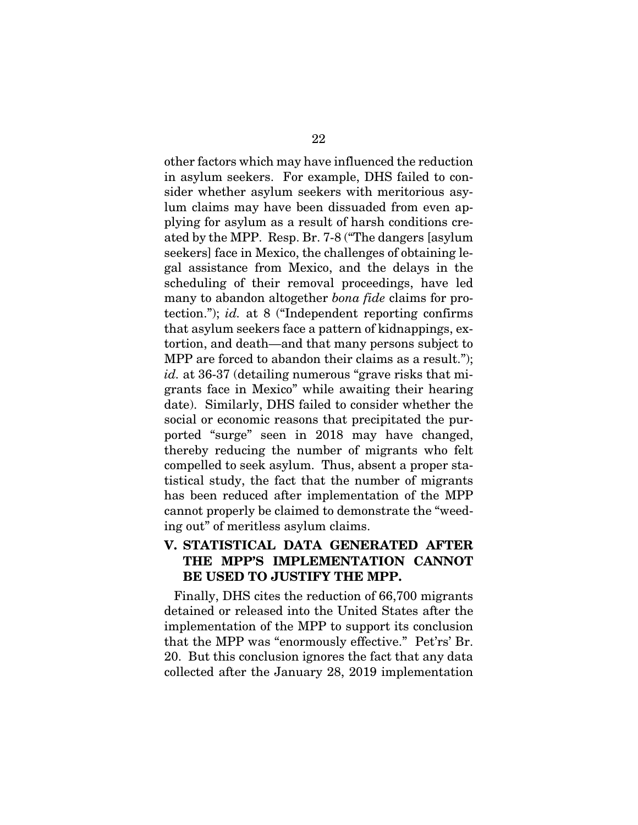other factors which may have influenced the reduction in asylum seekers. For example, DHS failed to consider whether asylum seekers with meritorious asylum claims may have been dissuaded from even ap-lum claims may have been dissuaded from even applying for asylum as a result of harsh conditions cre-plying for asylum as a result of harsh conditions created by the MPP. Resp. Br. 7-8 ("The dangers [asylum ated by the MPP. Resp. Br. 7-8 ("The dangers [asylum seekers] face in Mexico, the challenges of obtaining le-seekers] face in Mexico, the challenges of obtaining legal assistance from Mexico, and the delays in the gal assistance from Mexico, and the delays in the scheduling of their removal proceedings, have led scheduling of their removal proceedings, have led many to abandon altogether bona fide claims for pro-many to abandon altogether *bona fide* claims for protection."); id. at 8 ("Independent reporting confirms tection."); *id.* at 8 ("Independent reporting confirms that asylum seekers face a pattern of kidnappings, ex-that asylum seekers face a pattern of kidnappings, extortion, and death—and that many persons subject to MPP are forced to abandon their claims as a result."); MPP are forced to abandon their claims as a result."); id. at 36-37 (detailing numerous "grave risks that mi-*id.* at 36-37 (detailing numerous "grave risks that migrants face in Mexico" while awaiting their hearing date). Similarly, DHS failed to consider whether the grants face in Mexico" while awaiting their hearing date). Similarly, DHS failed to consider whether the social or economic reasons that precipitated the pur-social or economic reasons that precipitated the purported "surge" seen in 2018 may have changed, ported "surge" seen in 2018 may have changed, thereby reducing the number of migrants who felt thereby reducing the number of migrants who felt compelled to seek asylum. Thus, absent a proper sta-compelled to seek asylum. Thus, absent a proper statistical study, the fact that the number of migrants tistical study, the fact that the number of migrants has been reduced after implementation of the MPP has been reduced after implementation of the MPP cannot properly be claimed to demonstrate the "weed-cannot properly be claimed to demonstrate the "weeding out" of meritless asylum claims. ing out" of meritless asylum claims.  $22$ <br>other factors which may have influenced the reduction<br>in asylum seekers. For example, DHS failed to con-

### V. STATISTICAL DATA GENERATED AFTER THE MPP'S IMPLEMENTATION CANNOT BE USED TO JUSTIFY THE MPP. V. STATISTICAL DATA GENERATED AFTER THE MPP'S IMPLEMENTATION CANNOT BE USED TO JUSTIFY THE MPP.

Finally, DHS cites the reduction of 66,700 migrants Finally, DHS cites the reduction of 66,700 migrants detained or released into the United States after the implementation of the MPP to support its conclusion detained or released into the United States after the implementation of the MPP to support its conclusion that the MPP was "enormously effective." Pet'rs' Br. that the MPP was "enormously effective." Pet'rs' Br.<br>20. But this conclusion ignores the fact that any data collected after the January 28, 2019 implementation collected after the January 28, 2019 implementation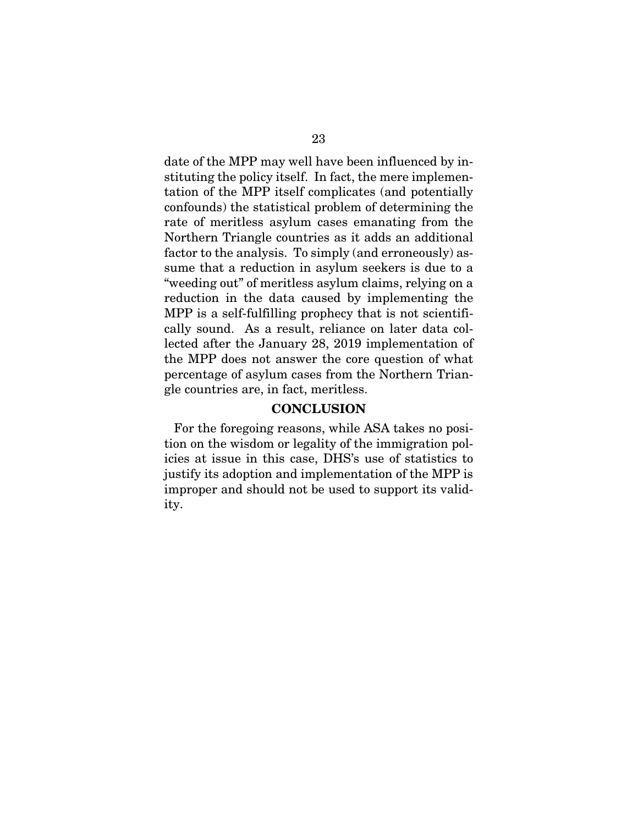date of the MPP may well have been influenced by in-23 date of the MPP may well have been influenced by instituting the policy itself. In fact, the mere implemen-stituting the policy itself. In fact, the mere implementation of the MPP itself complicates (and potentially confounds) the statistical problem of determining the rate of meritless asylum cases emanating from the Northern Triangle countries as it adds an additional Northern Triangle countries as it adds an additional factor to the analysis. To simply (and erroneously) as-factor to the analysis. To simply (and erroneously) assume that a reduction in asylum seekers is due to a "weeding out" of meritless asylum claims, relying on a "weeding out" of meritless asylum claims, relying on a reduction in the data caused by implementing the reduction in the data caused by implementing the<br>MPP is a self-fulfilling prophecy that is not scientifically sound. As a result, reliance on later data collected after the January 28, 2019 implementation of lected after the January 28, 2019 implementation of the MPP does not answer the core question of what percentage of asylum cases from the Northern Trian-percentage of asylum cases from the Northern Triangle countries are, in fact, meritless. gle countries are, in fact, meritless. tation of the MPP itself complicates (and potentially confounds) the statistical problem of determining the rate of meritless asylum cases emanating from the

### CONCLUSION CONCLUSION

For the foregoing reasons, while ASA takes no posi-For the foregoing reasons, while ASA takes no position on the wisdom or legality of the immigration pol-tion on the wisdom or legality of the immigration policies at issue in this case, DHS's use of statistics to icies at issue in this case, DHS's use of statistics to justify its adoption and implementation of the MPP is justify its adoption and implementation of the MPP is improper and should not be used to support its valid-improper and should not be used to support its validity. ity.